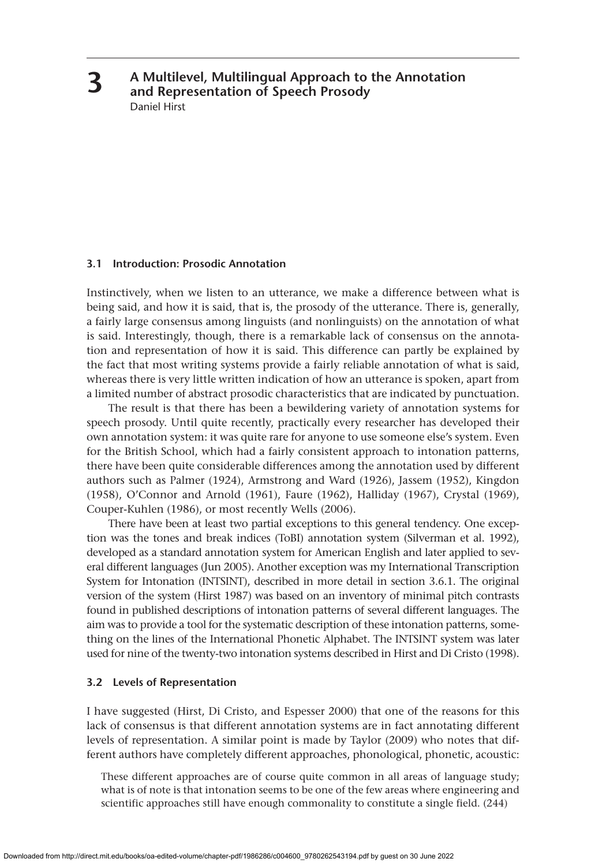**A Multilevel, Multilingual Approach to the Annotation and Representation of Speech Prosody** Daniel Hirst

## **3.1 Introduction: Prosodic Annotation**

**3**

Instinctively, when we listen to an utterance, we make a difference between what is being said, and how it is said, that is, the prosody of the utterance. There is, generally, a fairly large consensus among linguists (and nonlinguists) on the annotation of what is said. Interestingly, though, there is a remarkable lack of consensus on the annotation and representation of how it is said. This difference can partly be explained by the fact that most writing systems provide a fairly reliable annotation of what is said, whereas there is very little written indication of how an utterance is spoken, apart from a limited number of abstract prosodic characteristics that are indicated by punctuation.

The result is that there has been a bewildering variety of annotation systems for speech prosody. Until quite recently, practically every researcher has developed their own annotation system: it was quite rare for anyone to use someone else's system. Even for the British School, which had a fairly consistent approach to intonation patterns, there have been quite considerable differences among the annotation used by different authors such as Palmer (1924), Armstrong and Ward (1926), Jassem (1952), Kingdon (1958), O'Connor and Arnold (1961), Faure (1962), Halliday (1967), Crystal (1969), Couper-Kuhlen (1986), or most recently Wells (2006).

There have been at least two partial exceptions to this general tendency. One exception was the tones and break indices (ToBI) annotation system (Silverman et al. 1992), developed as a standard annotation system for American English and later applied to several different languages (Jun 2005). Another exception was my International Transcription System for Intonation (INTSINT), described in more detail in section 3.6.1. The original version of the system (Hirst 1987) was based on an inventory of minimal pitch contrasts found in published descriptions of intonation patterns of several different languages. The aim was to provide a tool for the systematic description of these intonation patterns, something on the lines of the International Phonetic Alphabet. The INTSINT system was later used for nine of the twenty-two intonation systems described in Hirst and Di Cristo (1998).

## **3.2 Levels of Representation**

I have suggested (Hirst, Di Cristo, and Espesser 2000) that one of the reasons for this lack of consensus is that different annotation systems are in fact annotating different levels of representation. A similar point is made by Taylor (2009) who notes that different authors have completely different approaches, phonological, phonetic, acoustic:

These different approaches are of course quite common in all areas of language study; what is of note is that intonation seems to be one of the few areas where engineering and scientific approaches still have enough commonality to constitute a single field. (244)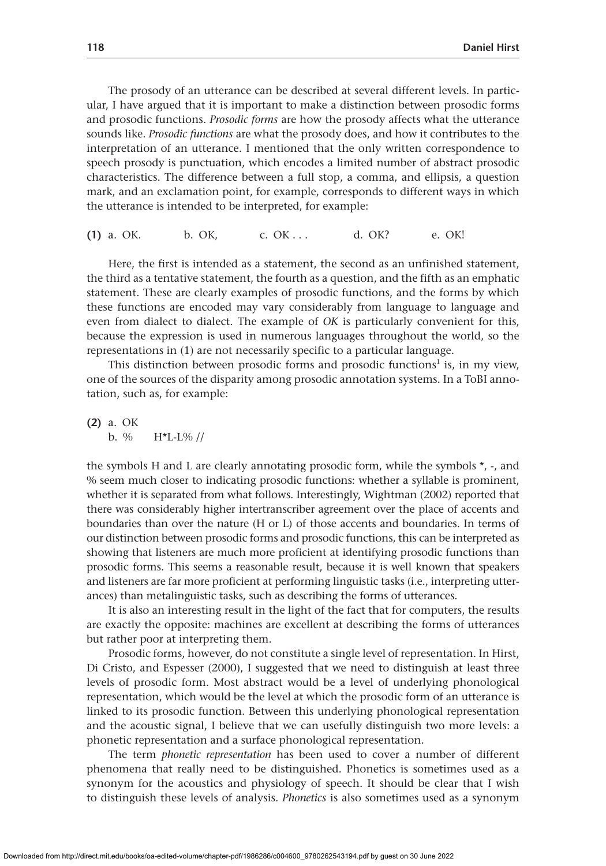The prosody of an utterance can be described at several different levels. In particular, I have argued that it is important to make a distinction between prosodic forms and prosodic functions. *Prosodic forms* are how the prosody affects what the utterance sounds like. *Prosodic functions* are what the prosody does, and how it contributes to the interpretation of an utterance. I mentioned that the only written correspondence to speech prosody is punctuation, which encodes a limited number of abstract prosodic characteristics. The difference between a full stop, a comma, and ellipsis, a question mark, and an exclamation point, for example, corresponds to different ways in which the utterance is intended to be interpreted, for example:

**(1)** a. OK. b. OK, c. OK . . . d. OK? e. OK!

Here, the first is intended as a statement, the second as an unfinished statement, the third as a tentative statement, the fourth as a question, and the fifth as an emphatic statement. These are clearly examples of prosodic functions, and the forms by which these functions are encoded may vary considerably from language to language and even from dialect to dialect. The example of *OK* is particularly convenient for this, because the expression is used in numerous languages throughout the world, so the representations in (1) are not necessarily specific to a particular language.

This distinction between prosodic forms and prosodic functions<sup>1</sup> is, in my view, one of the sources of the disparity among prosodic annotation systems. In a ToBI annotation, such as, for example:

**(2)** a. OK b.  $%$  H<sup>\*</sup>L-L% //

the symbols H and L are clearly annotating prosodic form, while the symbols  $*$ ,  $-$ , and % seem much closer to indicating prosodic functions: whether a syllable is prominent, whether it is separated from what follows. Interestingly, Wightman (2002) reported that there was considerably higher intertranscriber agreement over the place of accents and boundaries than over the nature (H or L) of those accents and boundaries. In terms of our distinction between prosodic forms and prosodic functions, this can be interpreted as showing that listeners are much more proficient at identifying prosodic functions than prosodic forms. This seems a reasonable result, because it is well known that speakers and listeners are far more proficient at performing linguistic tasks (i.e., interpreting utterances) than metalinguistic tasks, such as describing the forms of utterances.

It is also an interesting result in the light of the fact that for computers, the results are exactly the opposite: machines are excellent at describing the forms of utterances but rather poor at interpreting them.

Prosodic forms, however, do not constitute a single level of representation. In Hirst, Di Cristo, and Espesser (2000), I suggested that we need to distinguish at least three levels of prosodic form. Most abstract would be a level of underlying phonological representation, which would be the level at which the prosodic form of an utterance is linked to its prosodic function. Between this underlying phonological representation and the acoustic signal, I believe that we can usefully distinguish two more levels: a phonetic representation and a surface phonological representation.

The term *phonetic representation* has been used to cover a number of different phenomena that really need to be distinguished. Phonetics is sometimes used as a synonym for the acoustics and physiology of speech. It should be clear that I wish to distinguish these levels of analysis. *Phonetics* is also sometimes used as a synonym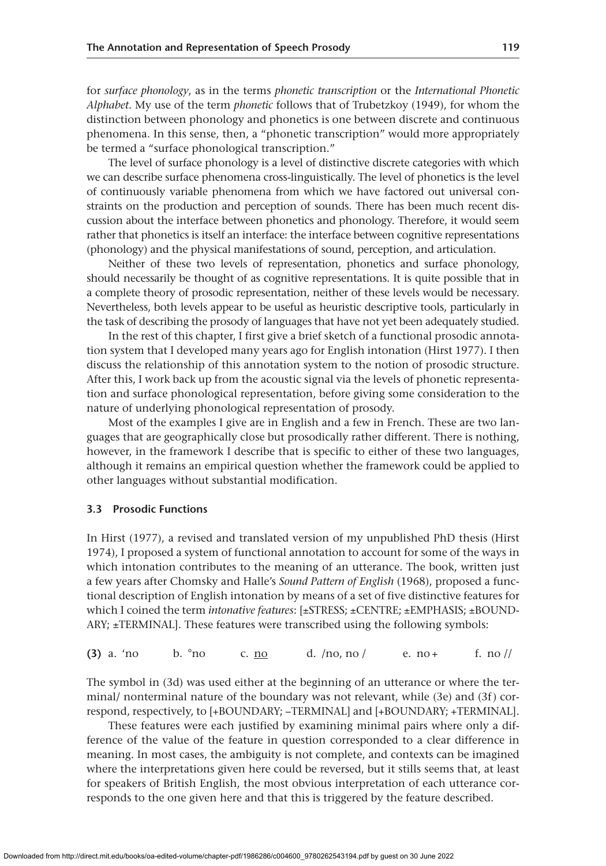for *surface phonology*, as in the terms *phonetic transcription* or the *International Phonetic Alphabet*. My use of the term *phonetic* follows that of Trubetzkoy (1949), for whom the distinction between phonology and phonetics is one between discrete and continuous phenomena. In this sense, then, a "phonetic transcription" would more appropriately be termed a "surface phonological transcription."

The level of surface phonology is a level of distinctive discrete categories with which we can describe surface phenomena cross-linguistically. The level of phonetics is the level of continuously variable phenomena from which we have factored out universal constraints on the production and perception of sounds. There has been much recent discussion about the interface between phonetics and phonology. Therefore, it would seem rather that phonetics is itself an interface: the interface between cognitive representations (phonology) and the physical manifestations of sound, perception, and articulation.

Neither of these two levels of representation, phonetics and surface phonology, should necessarily be thought of as cognitive representations. It is quite possible that in a complete theory of prosodic representation, neither of these levels would be necessary. Nevertheless, both levels appear to be useful as heuristic descriptive tools, particularly in the task of describing the prosody of languages that have not yet been adequately studied.

In the rest of this chapter, I first give a brief sketch of a functional prosodic annotation system that I developed many years ago for English intonation (Hirst 1977). I then discuss the relationship of this annotation system to the notion of prosodic structure. After this, I work back up from the acoustic signal via the levels of phonetic representation and surface phonological representation, before giving some consideration to the nature of underlying phonological representation of prosody.

Most of the examples I give are in English and a few in French. These are two languages that are geographically close but prosodically rather different. There is nothing, however, in the framework I describe that is specific to either of these two languages, although it remains an empirical question whether the framework could be applied to other languages without substantial modification.

#### **3.3 Prosodic Functions**

In Hirst (1977), a revised and translated version of my unpublished PhD thesis (Hirst 1974), I proposed a system of functional annotation to account for some of the ways in which intonation contributes to the meaning of an utterance. The book, written just a few years after Chomsky and Halle's *Sound Pattern of English* (1968), proposed a functional description of English intonation by means of a set of five distinctive features for which I coined the term *intonative features*: [±STRESS; ±CENTRE; ±EMPHASIS; ±BOUND- $ARY$ ;  $\pm$  TERMINAL]. These features were transcribed using the following symbols:

| $(3)$ a. 'no | b. °no | c. no | $d.$ /no, no/ | $e. no +$ | f. no $\frac{1}{\pi}$ |
|--------------|--------|-------|---------------|-----------|-----------------------|
|--------------|--------|-------|---------------|-----------|-----------------------|

The symbol in (3d) was used either at the beginning of an utterance or where the terminal/ nonterminal nature of the boundary was not relevant, while (3e) and (3f) correspond, respectively, to [+BOUNDARY; −TERMINAL] and [+BOUNDARY; +TERMINAL].

These features were each justified by examining minimal pairs where only a difference of the value of the feature in question corresponded to a clear difference in meaning. In most cases, the ambiguity is not complete, and contexts can be imagined where the interpretations given here could be reversed, but it stills seems that, at least for speakers of British English, the most obvious interpretation of each utterance corresponds to the one given here and that this is triggered by the feature described.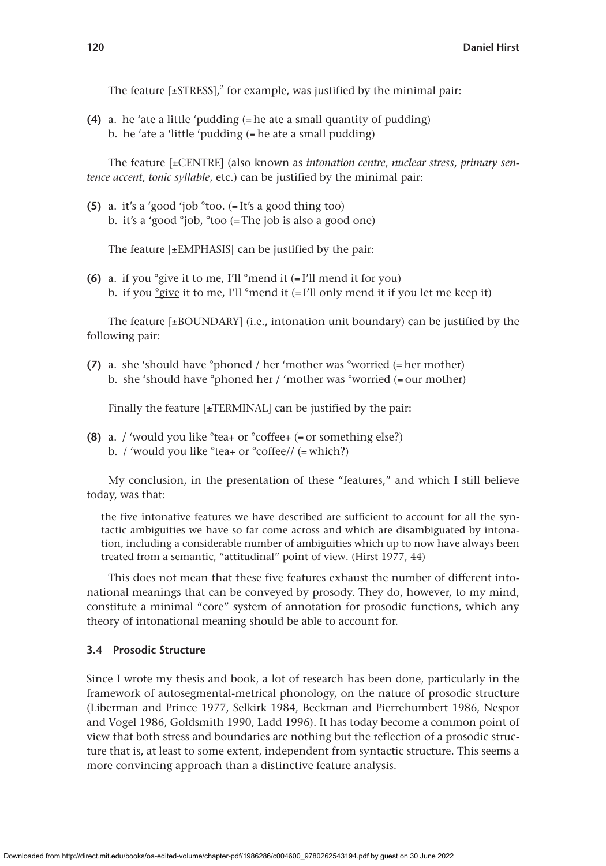The feature  $[{\pm}$ STRESS],<sup>2</sup> for example, was justified by the minimal pair:

**(4)** a. he 'ate a little 'pudding (=he ate a small quantity of pudding) b. he 'ate a 'little 'pudding (=he ate a small pudding)

The feature [±CENTRE] (also known as *intonation centre*, *nuclear stress*, *primary sentence accent*, *tonic syllable*, etc.) can be justified by the minimal pair:

**(5)** a. it's a 'good 'job °too. (= It's a good thing too) b. it's a 'good °job, °too (= The job is also a good one)

The feature [±EMPHASIS] can be justified by the pair:

**(6)** a. if you °give it to me, I'll °mend it (= I'll mend it for you) b. if you  $\frac{q}{q}$ ive it to me, I'll °mend it  $($ =I'll only mend it if you let me keep it)

The feature  $[\pm BOUNDARY]$  (i.e., intonation unit boundary) can be justified by the following pair:

**(7)** a. she 'should have °phoned / her 'mother was °worried (=her mother) b. she 'should have °phoned her / 'mother was °worried (= our mother)

Finally the feature [±TERMINAL] can be justified by the pair:

**(8)** a. / 'would you like °tea+ or °coffee+ (= or something else?) b. / 'would you like °tea+ or °coffee// (= which?)

My conclusion, in the presentation of these "features," and which I still believe today, was that:

the five intonative features we have described are sufficient to account for all the syntactic ambiguities we have so far come across and which are disambiguated by intonation, including a considerable number of ambiguities which up to now have always been treated from a semantic, "attitudinal" point of view. (Hirst 1977, 44)

This does not mean that these five features exhaust the number of different intonational meanings that can be conveyed by prosody. They do, however, to my mind, constitute a minimal "core" system of annotation for prosodic functions, which any theory of intonational meaning should be able to account for.

# **3.4 Prosodic Structure**

Since I wrote my thesis and book, a lot of research has been done, particularly in the framework of autosegmental-metrical phonology, on the nature of prosodic structure (Liberman and Prince 1977, Selkirk 1984, Beckman and Pierrehumbert 1986, Nespor and Vogel 1986, Goldsmith 1990, Ladd 1996). It has today become a common point of view that both stress and boundaries are nothing but the reflection of a prosodic structure that is, at least to some extent, independent from syntactic structure. This seems a more convincing approach than a distinctive feature analysis.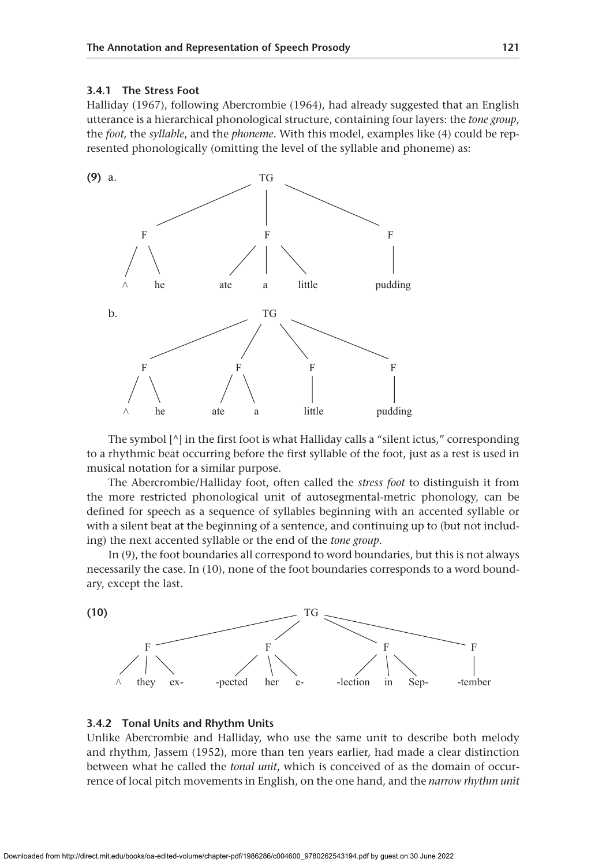# **3.4.1 The Stress Foot**

Halliday (1967), following Abercrombie (1964), had already suggested that an English utterance is a hierarchical phonological structure, containing four layers: the *tone group*, the *foot*, the *syllable*, and the *phoneme*. With this model, examples like (4) could be represented phonologically (omitting the level of the syllable and phoneme) as:



The symbol  $\lceil \wedge \rceil$  in the first foot is what Halliday calls a "silent ictus," corresponding to a rhythmic beat occurring before the first syllable of the foot, just as a rest is used in musical notation for a similar purpose.

The Abercrombie/Halliday foot, often called the *stress foot* to distinguish it from the more restricted phonological unit of autosegmental-metric phonology, can be defined for speech as a sequence of syllables beginning with an accented syllable or with a silent beat at the beginning of a sentence, and continuing up to (but not including) the next accented syllable or the end of the *tone group*.

In (9), the foot boundaries all correspond to word boundaries, but this is not always necessarily the case. In (10), none of the foot boundaries corresponds to a word boundary, except the last.



## **3.4.2 Tonal Units and Rhythm Units**

Unlike Abercrombie and Halliday, who use the same unit to describe both melody and rhythm, Jassem (1952), more than ten years earlier, had made a clear distinction between what he called the *tonal unit*, which is conceived of as the domain of occurrence of local pitch movements in English, on the one hand, and the *narrow rhythm unit*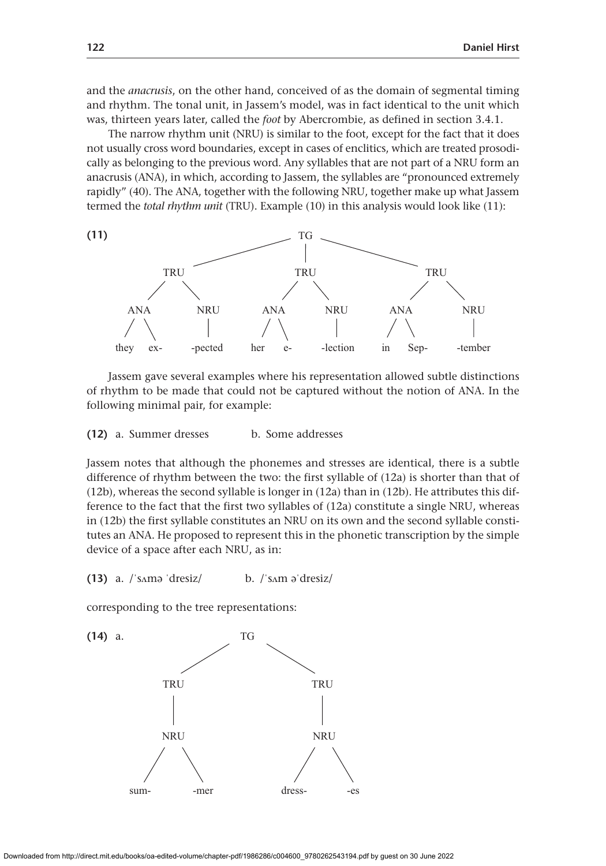and the *anacrusis*, on the other hand, conceived of as the domain of segmental timing and rhythm. The tonal unit, in Jassem's model, was in fact identical to the unit which was, thirteen years later, called the *foot* by Abercrombie, as defined in section 3.4.1.

The narrow rhythm unit (NRU) is similar to the foot, except for the fact that it does not usually cross word boundaries, except in cases of enclitics, which are treated prosodically as belonging to the previous word. Any syllables that are not part of a NRU form an anacrusis (ANA), in which, according to Jassem, the syllables are "pronounced extremely rapidly" (40). The ANA, together with the following NRU, together make up what Jassem termed the *total rhythm unit* (TRU). Example (10) in this analysis would look like (11):



Jassem gave several examples where his representation allowed subtle distinctions of rhythm to be made that could not be captured without the notion of ANA. In the following minimal pair, for example:

**(12)** a. Summer dresses b. Some addresses

Jassem notes that although the phonemes and stresses are identical, there is a subtle difference of rhythm between the two: the first syllable of (12a) is shorter than that of (12b), whereas the second syllable is longer in (12a) than in (12b). He attributes this difference to the fact that the first two syllables of (12a) constitute a single NRU, whereas in (12b) the first syllable constitutes an NRU on its own and the second syllable constitutes an ANA. He proposed to represent this in the phonetic transcription by the simple device of a space after each NRU, as in:

**(13)** a. /ˈsʌmə ˈdresiz/ b. /ˈsʌm əˈdresiz/

corresponding to the tree representations:

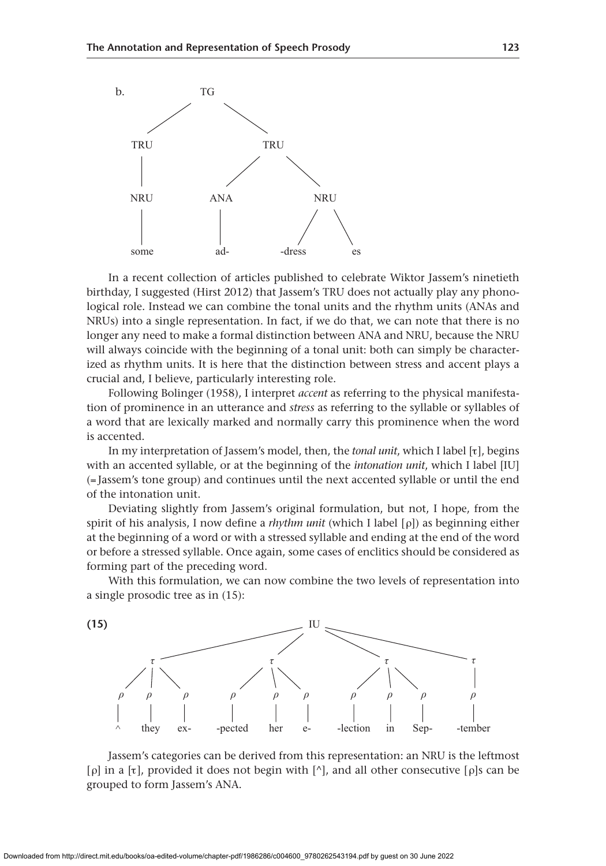

In a recent collection of articles published to celebrate Wiktor Jassem's ninetieth birthday, I suggested (Hirst 2012) that Jassem's TRU does not actually play any phonological role. Instead we can combine the tonal units and the rhythm units (ANAs and NRUs) into a single representation. In fact, if we do that, we can note that there is no longer any need to make a formal distinction between ANA and NRU, because the NRU will always coincide with the beginning of a tonal unit: both can simply be characterized as rhythm units. It is here that the distinction between stress and accent plays a crucial and, I believe, particularly interesting role.

Following Bolinger (1958), I interpret *accent* as referring to the physical manifestation of prominence in an utterance and *stress* as referring to the syllable or syllables of a word that are lexically marked and normally carry this prominence when the word is accented.

In my interpretation of Jassem's model, then, the *tonal unit*, which I label [τ], begins with an accented syllable, or at the beginning of the *intonation unit*, which I label [IU] (= Jassem's tone group) and continues until the next accented syllable or until the end of the intonation unit.

Deviating slightly from Jassem's original formulation, but not, I hope, from the spirit of his analysis, I now define a *rhythm unit* (which I label [ρ]) as beginning either at the beginning of a word or with a stressed syllable and ending at the end of the word or before a stressed syllable. Once again, some cases of enclitics should be considered as forming part of the preceding word.

With this formulation, we can now combine the two levels of representation into a single prosodic tree as in (15):



Jassem's categories can be derived from this representation: an NRU is the leftmost [ρ] in a [τ], provided it does not begin with [^], and all other consecutive [ρ]s can be grouped to form Jassem's ANA.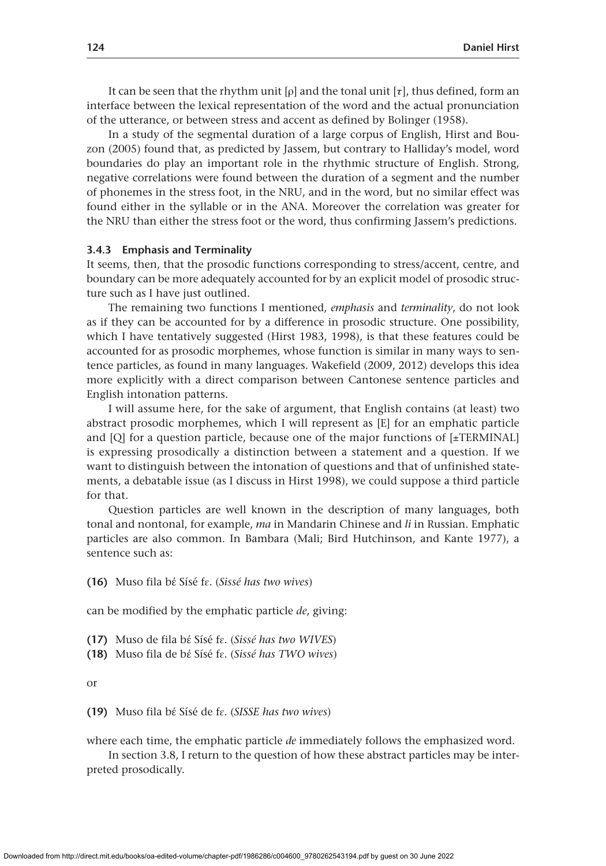It can be seen that the rhythm unit  $[\rho]$  and the tonal unit  $[\tau]$ , thus defined, form an interface between the lexical representation of the word and the actual pronunciation of the utterance, or between stress and accent as defined by Bolinger (1958).

In a study of the segmental duration of a large corpus of English, Hirst and Bouzon (2005) found that, as predicted by Jassem, but contrary to Halliday's model, word boundaries do play an important role in the rhythmic structure of English. Strong, negative correlations were found between the duration of a segment and the number of phonemes in the stress foot, in the NRU, and in the word, but no similar effect was found either in the syllable or in the ANA. Moreover the correlation was greater for the NRU than either the stress foot or the word, thus confirming Jassem's predictions.

#### **3.4.3 Emphasis and Terminality**

It seems, then, that the prosodic functions corresponding to stress/accent, centre, and boundary can be more adequately accounted for by an explicit model of prosodic structure such as I have just outlined.

The remaining two functions I mentioned, *emphasis* and *terminality*, do not look as if they can be accounted for by a difference in prosodic structure. One possibility, which I have tentatively suggested (Hirst 1983, 1998), is that these features could be accounted for as prosodic morphemes, whose function is similar in many ways to sentence particles, as found in many languages. Wakefield (2009, 2012) develops this idea more explicitly with a direct comparison between Cantonese sentence particles and English intonation patterns.

I will assume here, for the sake of argument, that English contains (at least) two abstract prosodic morphemes, which I will represent as [E] for an emphatic particle and  $[Q]$  for a question particle, because one of the major functions of  $[\pm \text{TERMINAL}]$ is expressing prosodically a distinction between a statement and a question. If we want to distinguish between the intonation of questions and that of unfinished statements, a debatable issue (as I discuss in Hirst 1998), we could suppose a third particle for that.

Question particles are well known in the description of many languages, both tonal and nontonal, for example, *ma* in Mandarin Chinese and *li* in Russian. Emphatic particles are also common. In Bambara (Mali; Bird Hutchinson, and Kante 1977), a sentence such as:

**(16)** Muso fila bέ Sísé fɛ. (*Sissé has two wives*)

can be modified by the emphatic particle *de*, giving:

- **(17)** Muso de fila bέ Sísé fɛ. (*Sissé has two WIVES*)
- **(18)** Muso fila de bέ Sísé fɛ. (*Sissé has TWO wives*)

or

**(19)** Muso fila bέ Sísé de fɛ. (*SISSE has two wives*)

where each time, the emphatic particle *de* immediately follows the emphasized word.

In section 3.8, I return to the question of how these abstract particles may be interpreted prosodically.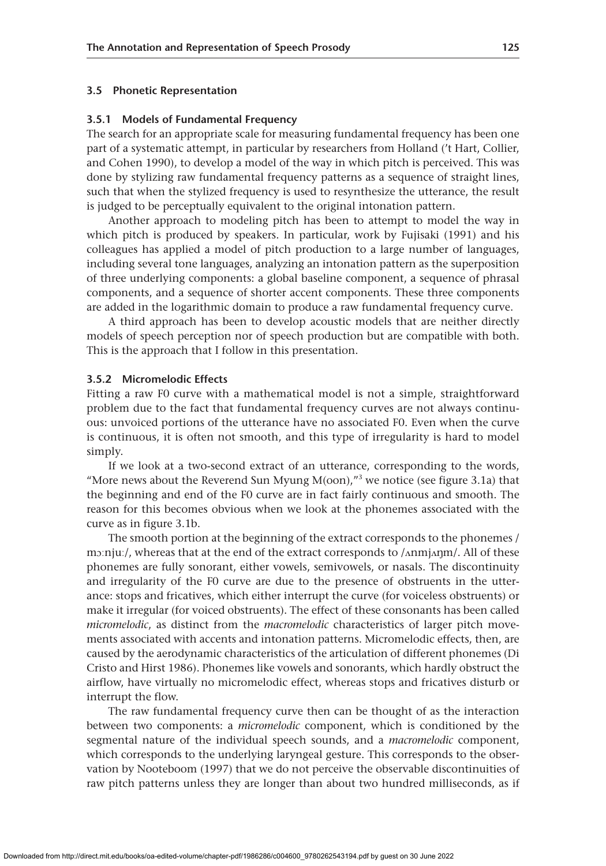#### **3.5 Phonetic Representation**

#### **3.5.1 Models of Fundamental Frequency**

The search for an appropriate scale for measuring fundamental frequency has been one part of a systematic attempt, in particular by researchers from Holland ('t Hart, Collier, and Cohen 1990), to develop a model of the way in which pitch is perceived. This was done by stylizing raw fundamental frequency patterns as a sequence of straight lines, such that when the stylized frequency is used to resynthesize the utterance, the result is judged to be perceptually equivalent to the original intonation pattern.

Another approach to modeling pitch has been to attempt to model the way in which pitch is produced by speakers. In particular, work by Fujisaki (1991) and his colleagues has applied a model of pitch production to a large number of languages, including several tone languages, analyzing an intonation pattern as the superposition of three underlying components: a global baseline component, a sequence of phrasal components, and a sequence of shorter accent components. These three components are added in the logarithmic domain to produce a raw fundamental frequency curve.

A third approach has been to develop acoustic models that are neither directly models of speech perception nor of speech production but are compatible with both. This is the approach that I follow in this presentation.

# **3.5.2 Micromelodic Effects**

Fitting a raw F0 curve with a mathematical model is not a simple, straightforward problem due to the fact that fundamental frequency curves are not always continuous: unvoiced portions of the utterance have no associated F0. Even when the curve is continuous, it is often not smooth, and this type of irregularity is hard to model simply.

If we look at a two-second extract of an utterance, corresponding to the words, "More news about the Reverend Sun Myung  $M($ oon),"<sup>3</sup> we notice (see figure 3.1a) that the beginning and end of the F0 curve are in fact fairly continuous and smooth. The reason for this becomes obvious when we look at the phonemes associated with the curve as in figure 3.1b.

The smooth portion at the beginning of the extract corresponds to the phonemes / mɔːnjuː/, whereas that at the end of the extract corresponds to /ʌnmjʌŋm/. All of these phonemes are fully sonorant, either vowels, semivowels, or nasals. The discontinuity and irregularity of the F0 curve are due to the presence of obstruents in the utterance: stops and fricatives, which either interrupt the curve (for voiceless obstruents) or make it irregular (for voiced obstruents). The effect of these consonants has been called *micromelodic*, as distinct from the *macromelodic* characteristics of larger pitch movements associated with accents and intonation patterns. Micromelodic effects, then, are caused by the aerodynamic characteristics of the articulation of different phonemes (Di Cristo and Hirst 1986). Phonemes like vowels and sonorants, which hardly obstruct the airflow, have virtually no micromelodic effect, whereas stops and fricatives disturb or interrupt the flow.

The raw fundamental frequency curve then can be thought of as the interaction between two components: a *micromelodic* component, which is conditioned by the segmental nature of the individual speech sounds, and a *macromelodic* component, which corresponds to the underlying laryngeal gesture. This corresponds to the observation by Nooteboom (1997) that we do not perceive the observable discontinuities of raw pitch patterns unless they are longer than about two hundred milliseconds, as if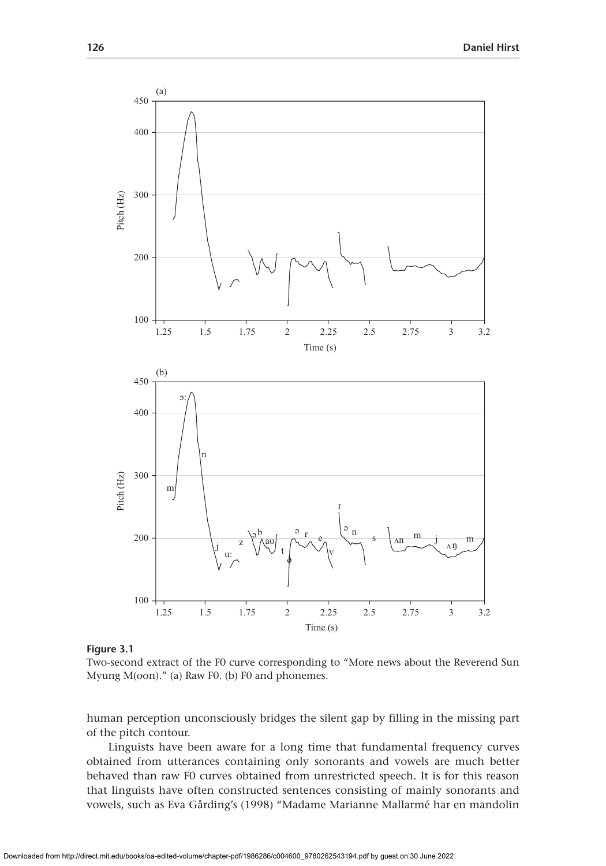

**Figure 3.1**

Two-second extract of the F0 curve corresponding to "More news about the Reverend Sun Myung M(oon)." (a) Raw F0. (b) F0 and phonemes.

human perception unconsciously bridges the silent gap by filling in the missing part of the pitch contour.

Linguists have been aware for a long time that fundamental frequency curves obtained from utterances containing only sonorants and vowels are much better behaved than raw F0 curves obtained from unrestricted speech. It is for this reason that linguists have often constructed sentences consisting of mainly sonorants and vowels, such as Eva Gårding's (1998) "Madame Marianne Mallarmé har en mandolin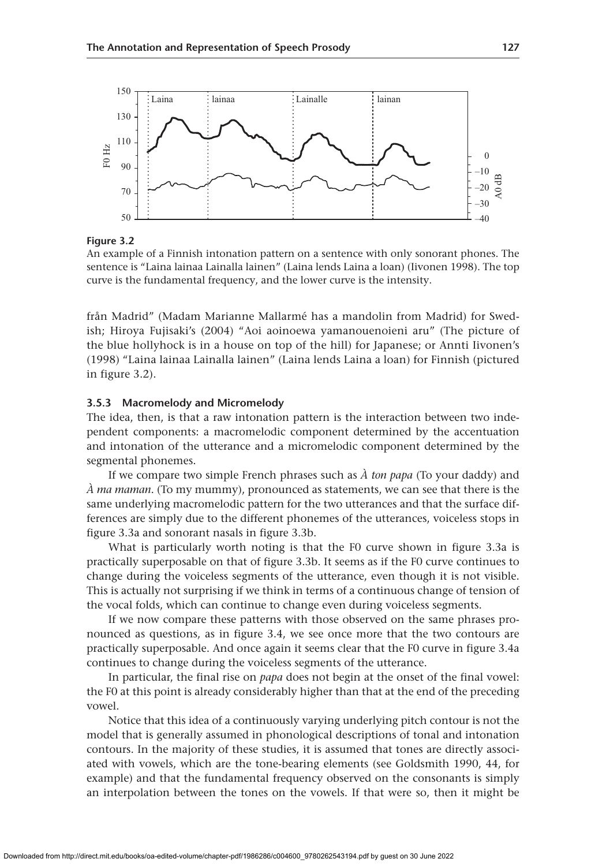

An example of a Finnish intonation pattern on a sentence with only sonorant phones. The sentence is "Laina lainaa Lainalla lainen" (Laina lends Laina a loan) (Iivonen 1998). The top curve is the fundamental frequency, and the lower curve is the intensity.

från Madrid" (Madam Marianne Mallarmé has a mandolin from Madrid) for Swedish; Hiroya Fujisaki's (2004) "Aoi aoinoewa yamanouenoieni aru" (The picture of the blue hollyhock is in a house on top of the hill) for Japanese; or Annti Iivonen's (1998) "Laina lainaa Lainalla lainen" (Laina lends Laina a loan) for Finnish (pictured in figure 3.2).

# **3.5.3 Macromelody and Micromelody**

The idea, then, is that a raw intonation pattern is the interaction between two independent components: a macromelodic component determined by the accentuation and intonation of the utterance and a micromelodic component determined by the segmental phonemes.

If we compare two simple French phrases such as *À ton papa* (To your daddy) and *À ma maman*. (To my mummy), pronounced as statements, we can see that there is the same underlying macromelodic pattern for the two utterances and that the surface differences are simply due to the different phonemes of the utterances, voiceless stops in figure 3.3a and sonorant nasals in figure 3.3b.

What is particularly worth noting is that the F0 curve shown in figure 3.3a is practically superposable on that of figure 3.3b. It seems as if the F0 curve continues to change during the voiceless segments of the utterance, even though it is not visible. This is actually not surprising if we think in terms of a continuous change of tension of the vocal folds, which can continue to change even during voiceless segments.

If we now compare these patterns with those observed on the same phrases pronounced as questions, as in figure 3.4, we see once more that the two contours are practically superposable. And once again it seems clear that the F0 curve in figure 3.4a continues to change during the voiceless segments of the utterance.

In particular, the final rise on *papa* does not begin at the onset of the final vowel: the F0 at this point is already considerably higher than that at the end of the preceding vowel.

Notice that this idea of a continuously varying underlying pitch contour is not the model that is generally assumed in phonological descriptions of tonal and intonation contours. In the majority of these studies, it is assumed that tones are directly associated with vowels, which are the tone-bearing elements (see Goldsmith 1990, 44, for example) and that the fundamental frequency observed on the consonants is simply an interpolation between the tones on the vowels. If that were so, then it might be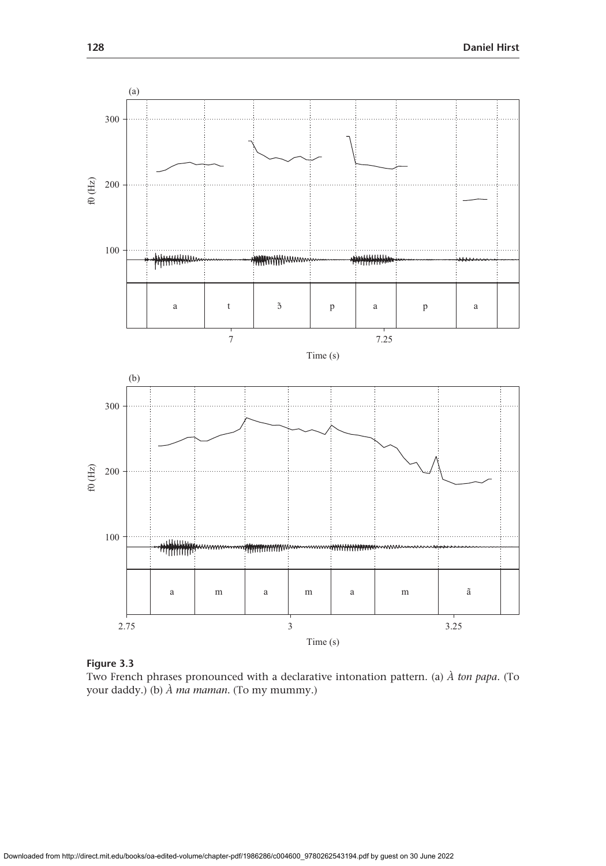

Two French phrases pronounced with a declarative intonation pattern. (a) *À ton papa*. (To your daddy.) (b) *À ma maman*. (To my mummy.)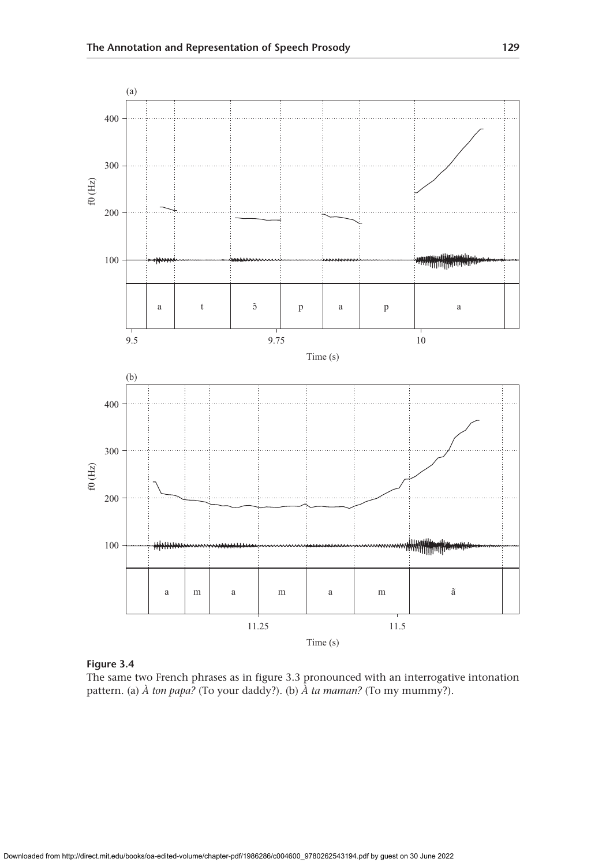

The same two French phrases as in figure 3.3 pronounced with an interrogative intonation pattern. (a) *À ton papa?* (To your daddy?). (b) *À ta maman?* (To my mummy?).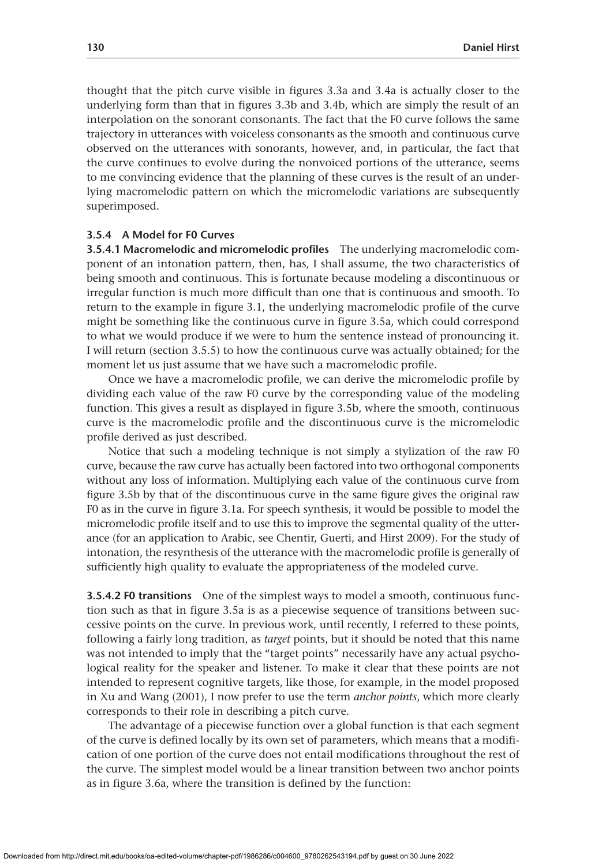thought that the pitch curve visible in figures 3.3a and 3.4a is actually closer to the underlying form than that in figures 3.3b and 3.4b, which are simply the result of an interpolation on the sonorant consonants. The fact that the F0 curve follows the same trajectory in utterances with voiceless consonants as the smooth and continuous curve observed on the utterances with sonorants, however, and, in particular, the fact that the curve continues to evolve during the nonvoiced portions of the utterance, seems to me convincing evidence that the planning of these curves is the result of an underlying macromelodic pattern on which the micromelodic variations are subsequently superimposed.

## **3.5.4 A Model for F0 Curves**

**3.5.4.1 Macromelodic and micromelodic profiles** The underlying macromelodic component of an intonation pattern, then, has, I shall assume, the two characteristics of being smooth and continuous. This is fortunate because modeling a discontinuous or irregular function is much more difficult than one that is continuous and smooth. To return to the example in figure 3.1, the underlying macromelodic profile of the curve might be something like the continuous curve in figure 3.5a, which could correspond to what we would produce if we were to hum the sentence instead of pronouncing it. I will return (section 3.5.5) to how the continuous curve was actually obtained; for the moment let us just assume that we have such a macromelodic profile.

Once we have a macromelodic profile, we can derive the micromelodic profile by dividing each value of the raw F0 curve by the corresponding value of the modeling function. This gives a result as displayed in figure 3.5b, where the smooth, continuous curve is the macromelodic profile and the discontinuous curve is the micromelodic profile derived as just described.

Notice that such a modeling technique is not simply a stylization of the raw F0 curve, because the raw curve has actually been factored into two orthogonal components without any loss of information. Multiplying each value of the continuous curve from figure 3.5b by that of the discontinuous curve in the same figure gives the original raw F0 as in the curve in figure 3.1a. For speech synthesis, it would be possible to model the micromelodic profile itself and to use this to improve the segmental quality of the utterance (for an application to Arabic, see Chentir, Guerti, and Hirst 2009). For the study of intonation, the resynthesis of the utterance with the macromelodic profile is generally of sufficiently high quality to evaluate the appropriateness of the modeled curve.

**3.5.4.2 F0 transitions** One of the simplest ways to model a smooth, continuous function such as that in figure 3.5a is as a piecewise sequence of transitions between successive points on the curve. In previous work, until recently, I referred to these points, following a fairly long tradition, as *target* points, but it should be noted that this name was not intended to imply that the "target points" necessarily have any actual psychological reality for the speaker and listener. To make it clear that these points are not intended to represent cognitive targets, like those, for example, in the model proposed in Xu and Wang (2001), I now prefer to use the term *anchor points*, which more clearly corresponds to their role in describing a pitch curve.

The advantage of a piecewise function over a global function is that each segment of the curve is defined locally by its own set of parameters, which means that a modification of one portion of the curve does not entail modifications throughout the rest of the curve. The simplest model would be a linear transition between two anchor points as in figure 3.6a, where the transition is defined by the function: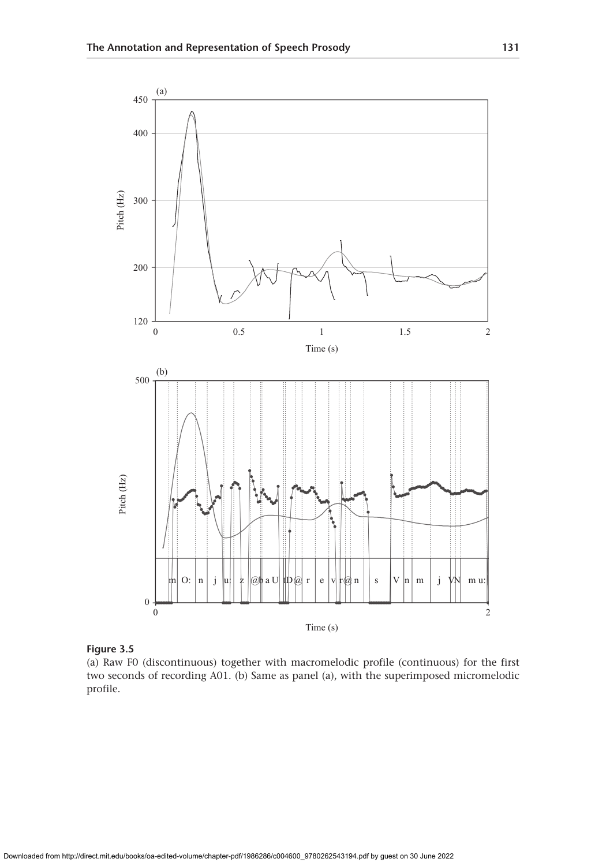

**Figure 3.5**

(a) Raw F0 (discontinuous) together with macromelodic profile (continuous) for the first two seconds of recording A01. (b) Same as panel (a), with the superimposed micromelodic profile.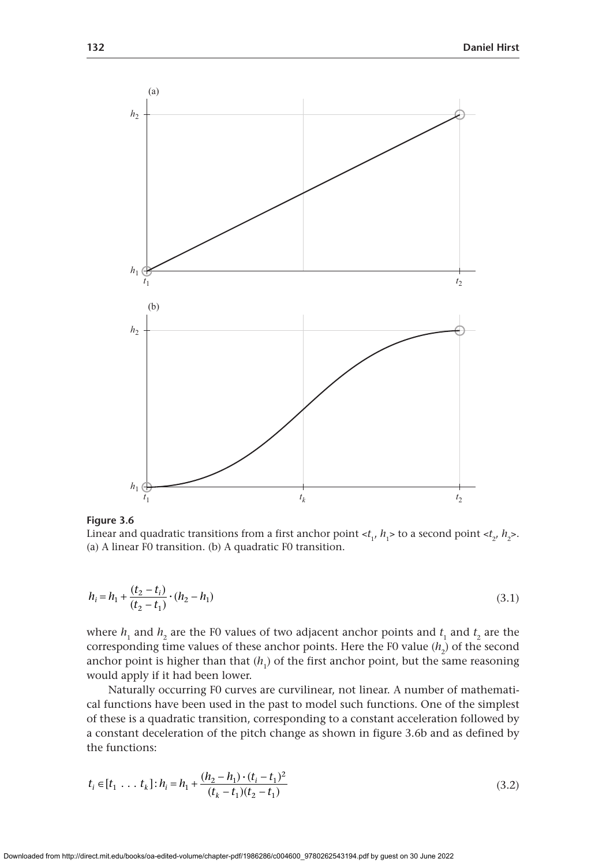

Linear and quadratic transitions from a first anchor point  $\langle t_1, h_1 \rangle$  to a second point  $\langle t_2, h_2 \rangle$ . (a) A linear F0 transition. (b) A quadratic F0 transition.

$$
h_i = h_1 + \frac{(t_2 - t_i)}{(t_2 - t_1)} \cdot (h_2 - h_1)
$$
\n(3.1)

where  $h_1$  and  $h_2$  are the F0 values of two adjacent anchor points and  $t_1$  and  $t_2$  are the corresponding time values of these anchor points. Here the F0 value  $(h_2)$  of the second anchor point is higher than that  $(h_1)$  of the first anchor point, but the same reasoning would apply if it had been lower.

Naturally occurring F0 curves are curvilinear, not linear. A number of mathematical functions have been used in the past to model such functions. One of the simplest of these is a quadratic transition, corresponding to a constant acceleration followed by a constant deceleration of the pitch change as shown in figure 3.6b and as defined by the functions:

$$
t_i \in [t_1 \dots t_k] : h_i = h_1 + \frac{(h_2 - h_1) \cdot (t_i - t_1)^2}{(t_k - t_1)(t_2 - t_1)}
$$
\n(3.2)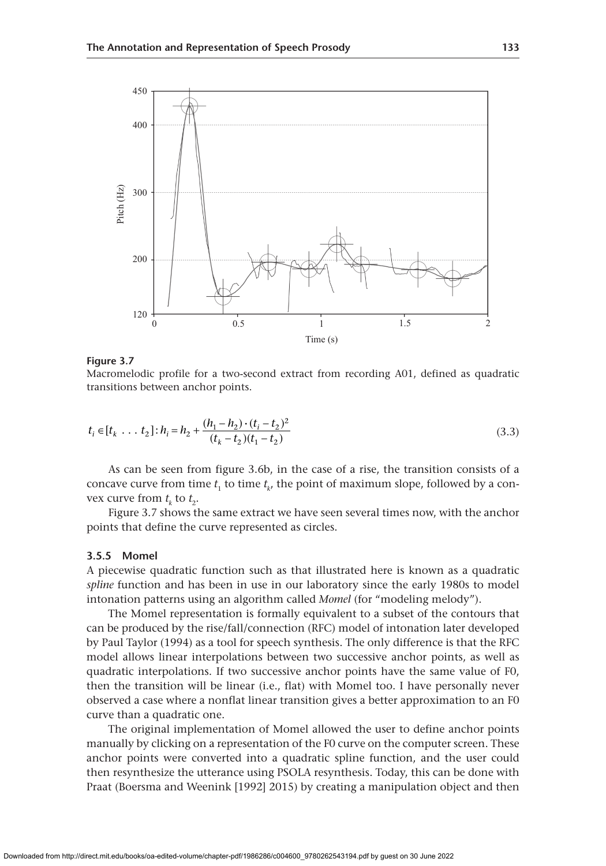

Macromelodic profile for a two-second extract from recording A01, defined as quadratic transitions between anchor points.

$$
t_i \in [t_k \dots t_2] : h_i = h_2 + \frac{(h_1 - h_2) \cdot (t_i - t_2)^2}{(t_k - t_2)(t_1 - t_2)}
$$
\n(3.3)

As can be seen from figure 3.6b, in the case of a rise, the transition consists of a concave curve from time  $t_1$  to time  $t_k$ , the point of maximum slope, followed by a convex curve from  $t_k$  to  $t_2$ .

Figure 3.7 shows the same extract we have seen several times now, with the anchor points that define the curve represented as circles.

## **3.5.5 Momel**

A piecewise quadratic function such as that illustrated here is known as a quadratic *spline* function and has been in use in our laboratory since the early 1980s to model intonation patterns using an algorithm called *Momel* (for "modeling melody").

The Momel representation is formally equivalent to a subset of the contours that can be produced by the rise/fall/connection (RFC) model of intonation later developed by Paul Taylor (1994) as a tool for speech synthesis. The only difference is that the RFC model allows linear interpolations between two successive anchor points, as well as quadratic interpolations. If two successive anchor points have the same value of F0, then the transition will be linear (i.e., flat) with Momel too. I have personally never observed a case where a nonflat linear transition gives a better approximation to an F0 curve than a quadratic one.

The original implementation of Momel allowed the user to define anchor points manually by clicking on a representation of the F0 curve on the computer screen. These anchor points were converted into a quadratic spline function, and the user could then resynthesize the utterance using PSOLA resynthesis. Today, this can be done with Praat (Boersma and Weenink [1992] 2015) by creating a manipulation object and then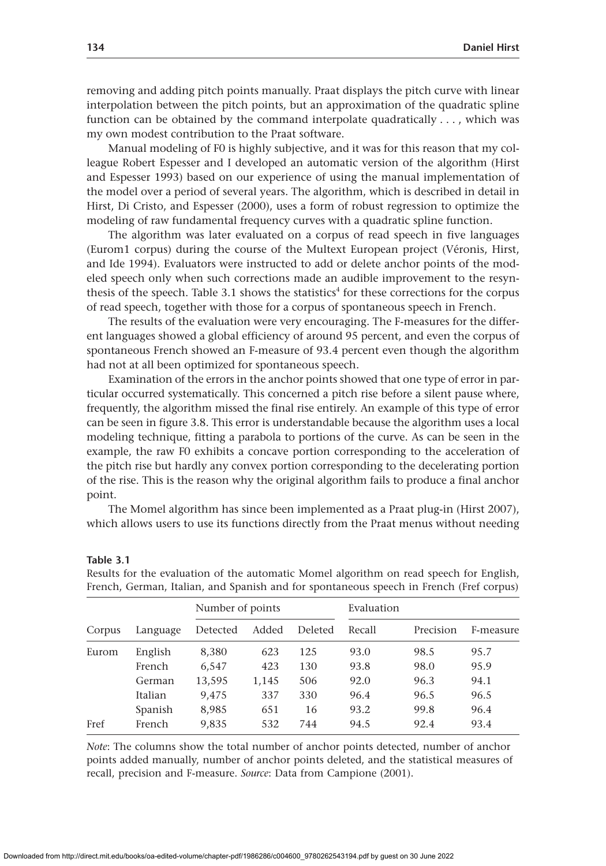removing and adding pitch points manually. Praat displays the pitch curve with linear interpolation between the pitch points, but an approximation of the quadratic spline function can be obtained by the command interpolate quadratically  $\dots$ , which was my own modest contribution to the Praat software.

Manual modeling of F0 is highly subjective, and it was for this reason that my colleague Robert Espesser and I developed an automatic version of the algorithm (Hirst and Espesser 1993) based on our experience of using the manual implementation of the model over a period of several years. The algorithm, which is described in detail in Hirst, Di Cristo, and Espesser (2000), uses a form of robust regression to optimize the modeling of raw fundamental frequency curves with a quadratic spline function.

The algorithm was later evaluated on a corpus of read speech in five languages (Eurom1 corpus) during the course of the Multext European project (Véronis, Hirst, and Ide 1994). Evaluators were instructed to add or delete anchor points of the modeled speech only when such corrections made an audible improvement to the resynthesis of the speech. Table  $3.1$  shows the statistics<sup>4</sup> for these corrections for the corpus of read speech, together with those for a corpus of spontaneous speech in French.

The results of the evaluation were very encouraging. The F-measures for the different languages showed a global efficiency of around 95 percent, and even the corpus of spontaneous French showed an F-measure of 93.4 percent even though the algorithm had not at all been optimized for spontaneous speech.

Examination of the errors in the anchor points showed that one type of error in particular occurred systematically. This concerned a pitch rise before a silent pause where, frequently, the algorithm missed the final rise entirely. An example of this type of error can be seen in figure 3.8. This error is understandable because the algorithm uses a local modeling technique, fitting a parabola to portions of the curve. As can be seen in the example, the raw F0 exhibits a concave portion corresponding to the acceleration of the pitch rise but hardly any convex portion corresponding to the decelerating portion of the rise. This is the reason why the original algorithm fails to produce a final anchor point.

The Momel algorithm has since been implemented as a Praat plug-in (Hirst 2007), which allows users to use its functions directly from the Praat menus without needing

|        | Language | Number of points |       |         | Evaluation |           |           |
|--------|----------|------------------|-------|---------|------------|-----------|-----------|
| Corpus |          | Detected         | Added | Deleted | Recall     | Precision | F-measure |
| Eurom  | English  | 8,380            | 623   | 125     | 93.0       | 98.5      | 95.7      |
|        | French   | 6,547            | 423   | 130     | 93.8       | 98.0      | 95.9      |
|        | German   | 13,595           | 1,145 | 506     | 92.0       | 96.3      | 94.1      |
|        | Italian  | 9,475            | 337   | 330     | 96.4       | 96.5      | 96.5      |
|        | Spanish  | 8,985            | 651   | 16      | 93.2       | 99.8      | 96.4      |
| Fref   | French   | 9,835            | 532   | 744     | 94.5       | 92.4      | 93.4      |
|        |          |                  |       |         |            |           |           |

**Table 3.1**

Results for the evaluation of the automatic Momel algorithm on read speech for English, French, German, Italian, and Spanish and for spontaneous speech in French (Fref corpus)

*Note*: The columns show the total number of anchor points detected, number of anchor points added manually, number of anchor points deleted, and the statistical measures of recall, precision and F-measure. *Source*: Data from Campione (2001).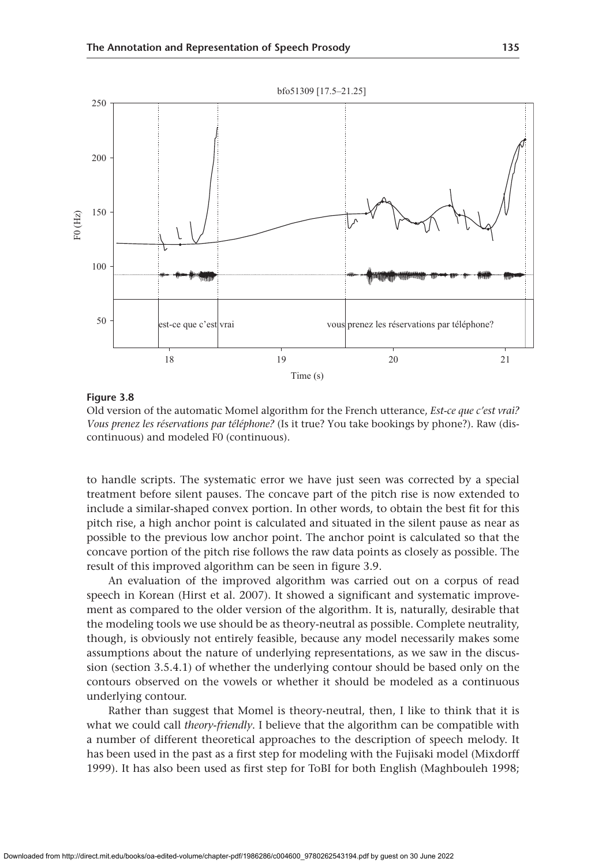

Old version of the automatic Momel algorithm for the French utterance, *Est-ce que c'est vrai? Vous prenez les réservations par téléphone?* (Is it true? You take bookings by phone?). Raw (discontinuous) and modeled F0 (continuous).

to handle scripts. The systematic error we have just seen was corrected by a special treatment before silent pauses. The concave part of the pitch rise is now extended to include a similar-shaped convex portion. In other words, to obtain the best fit for this pitch rise, a high anchor point is calculated and situated in the silent pause as near as possible to the previous low anchor point. The anchor point is calculated so that the concave portion of the pitch rise follows the raw data points as closely as possible. The result of this improved algorithm can be seen in figure 3.9.

An evaluation of the improved algorithm was carried out on a corpus of read speech in Korean (Hirst et al. 2007). It showed a significant and systematic improvement as compared to the older version of the algorithm. It is, naturally, desirable that the modeling tools we use should be as theory-neutral as possible. Complete neutrality, though, is obviously not entirely feasible, because any model necessarily makes some assumptions about the nature of underlying representations, as we saw in the discussion (section 3.5.4.1) of whether the underlying contour should be based only on the contours observed on the vowels or whether it should be modeled as a continuous underlying contour.

Rather than suggest that Momel is theory-neutral, then, I like to think that it is what we could call *theory-friendly*. I believe that the algorithm can be compatible with a number of different theoretical approaches to the description of speech melody. It has been used in the past as a first step for modeling with the Fujisaki model (Mixdorff 1999). It has also been used as first step for ToBI for both English (Maghbouleh 1998;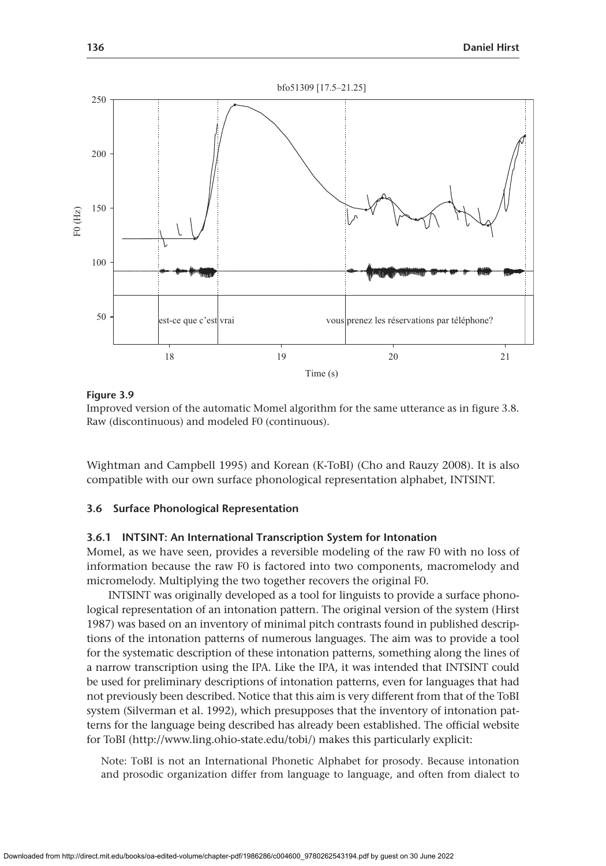

Improved version of the automatic Momel algorithm for the same utterance as in figure 3.8. Raw (discontinuous) and modeled F0 (continuous).

Wightman and Campbell 1995) and Korean (K-ToBI) (Cho and Rauzy 2008). It is also compatible with our own surface phonological representation alphabet, INTSINT.

# **3.6 Surface Phonological Representation**

# **3.6.1 INTSINT: An International Transcription System for Intonation**

Momel, as we have seen, provides a reversible modeling of the raw F0 with no loss of information because the raw F0 is factored into two components, macromelody and micromelody. Multiplying the two together recovers the original F0.

INTSINT was originally developed as a tool for linguists to provide a surface phonological representation of an intonation pattern. The original version of the system (Hirst 1987) was based on an inventory of minimal pitch contrasts found in published descriptions of the intonation patterns of numerous languages. The aim was to provide a tool for the systematic description of these intonation patterns, something along the lines of a narrow transcription using the IPA. Like the IPA, it was intended that INTSINT could be used for preliminary descriptions of intonation patterns, even for languages that had not previously been described. Notice that this aim is very different from that of the ToBI system (Silverman et al. 1992), which presupposes that the inventory of intonation patterns for the language being described has already been established. The official website for ToBI [\(http://www.ling.ohio-state.edu/tobi/\)](http://www.ling.ohio-state.edu/tobi/) makes this particularly explicit:

Note: ToBI is not an International Phonetic Alphabet for prosody. Because intonation and prosodic organization differ from language to language, and often from dialect to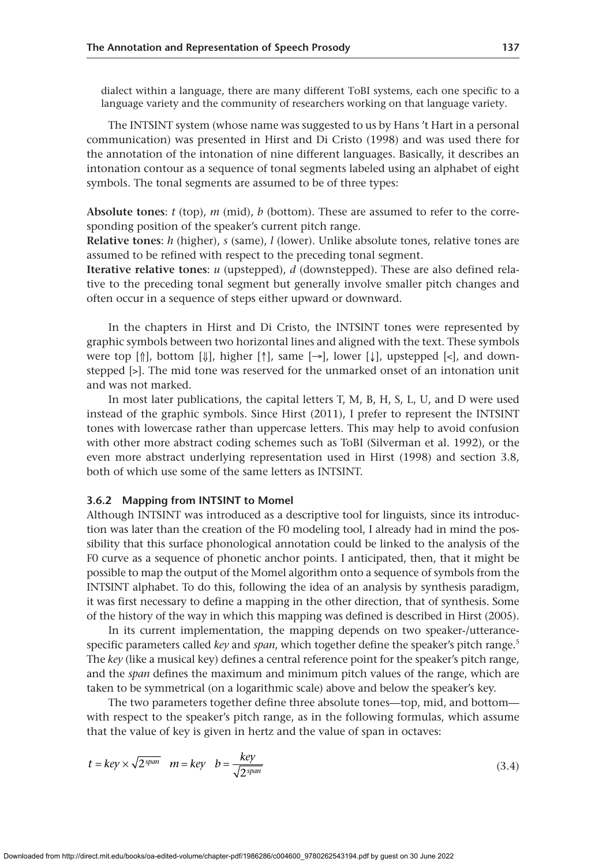dialect within a language, there are many different ToBI systems, each one specific to a language variety and the community of researchers working on that language variety.

The INTSINT system (whose name was suggested to us by Hans 't Hart in a personal communication) was presented in Hirst and Di Cristo (1998) and was used there for the annotation of the intonation of nine different languages. Basically, it describes an intonation contour as a sequence of tonal segments labeled using an alphabet of eight symbols. The tonal segments are assumed to be of three types:

**Absolute tones**: *t* (top), *m* (mid), *b* (bottom). These are assumed to refer to the corresponding position of the speaker's current pitch range.

**Relative tones**: *h* (higher), *s* (same), *l* (lower). Unlike absolute tones, relative tones are assumed to be refined with respect to the preceding tonal segment.

**Iterative relative tones**: *u* (upstepped), *d* (downstepped). These are also defined relative to the preceding tonal segment but generally involve smaller pitch changes and often occur in a sequence of steps either upward or downward.

In the chapters in Hirst and Di Cristo, the INTSINT tones were represented by graphic symbols between two horizontal lines and aligned with the text. These symbols were top  $[\![\cdot]\!]$ , bottom  $[\![\cdot]\!]$ , higher  $[\![\cdot]\!]$ , same  $[\rightarrow]$ , lower  $[\downarrow\!]$ , upstepped  $[\lt;]$ , and downstepped [>]. The mid tone was reserved for the unmarked onset of an intonation unit and was not marked.

In most later publications, the capital letters T, M, B, H, S, L, U, and D were used instead of the graphic symbols. Since Hirst (2011), I prefer to represent the INTSINT tones with lowercase rather than uppercase letters. This may help to avoid confusion with other more abstract coding schemes such as ToBI (Silverman et al. 1992), or the even more abstract underlying representation used in Hirst (1998) and section 3.8, both of which use some of the same letters as INTSINT.

# **3.6.2 Mapping from INTSINT to Momel**

Although INTSINT was introduced as a descriptive tool for linguists, since its introduction was later than the creation of the F0 modeling tool, I already had in mind the possibility that this surface phonological annotation could be linked to the analysis of the F0 curve as a sequence of phonetic anchor points. I anticipated, then, that it might be possible to map the output of the Momel algorithm onto a sequence of symbols from the INTSINT alphabet. To do this, following the idea of an analysis by synthesis paradigm, it was first necessary to define a mapping in the other direction, that of synthesis. Some of the history of the way in which this mapping was defined is described in Hirst (2005).

In its current implementation, the mapping depends on two speaker-/utterancespecific parameters called *key* and *span*, which together define the speaker's pitch range.<sup>5</sup> The *key* (like a musical key) defines a central reference point for the speaker's pitch range, and the *span* defines the maximum and minimum pitch values of the range, which are taken to be symmetrical (on a logarithmic scale) above and below the speaker's key.

The two parameters together define three absolute tones—top, mid, and bottom with respect to the speaker's pitch range, as in the following formulas, which assume that the value of key is given in hertz and the value of span in octaves:

$$
t = key \times \sqrt{2^{span}} \quad m = key \quad b = \frac{key}{\sqrt{2^{span}}} \tag{3.4}
$$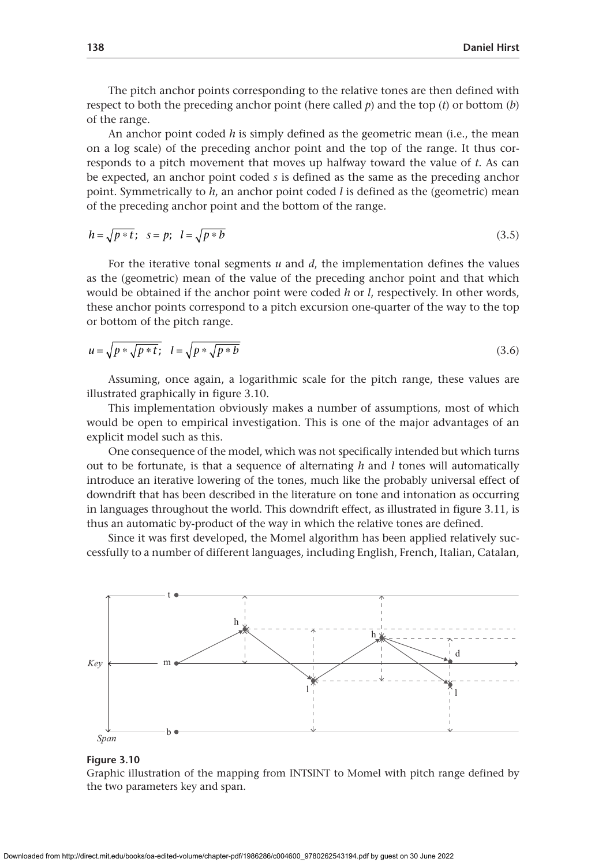The pitch anchor points corresponding to the relative tones are then defined with respect to both the preceding anchor point (here called  $p$ ) and the top  $(t)$  or bottom  $(b)$ of the range.

An anchor point coded *h* is simply defined as the geometric mean (i.e., the mean on a log scale) of the preceding anchor point and the top of the range. It thus corresponds to a pitch movement that moves up halfway toward the value of *t*. As can be expected, an anchor point coded *s* is defined as the same as the preceding anchor point. Symmetrically to *h*, an anchor point coded *l* is defined as the (geometric) mean of the preceding anchor point and the bottom of the range.

$$
h = \sqrt{p * t}; \quad s = p; \quad l = \sqrt{p * b}
$$
\n
$$
(3.5)
$$

For the iterative tonal segments *u* and *d*, the implementation defines the values as the (geometric) mean of the value of the preceding anchor point and that which would be obtained if the anchor point were coded *h* or *l*, respectively. In other words, these anchor points correspond to a pitch excursion one-quarter of the way to the top or bottom of the pitch range.

$$
u = \sqrt{p * \sqrt{p * t}}; \quad l = \sqrt{p * \sqrt{p * b}}
$$
\n
$$
(3.6)
$$

Assuming, once again, a logarithmic scale for the pitch range, these values are illustrated graphically in figure 3.10.

This implementation obviously makes a number of assumptions, most of which would be open to empirical investigation. This is one of the major advantages of an explicit model such as this.

One consequence of the model, which was not specifically intended but which turns out to be fortunate, is that a sequence of alternating *h* and *l* tones will automatically introduce an iterative lowering of the tones, much like the probably universal effect of downdrift that has been described in the literature on tone and intonation as occurring in languages throughout the world. This downdrift effect, as illustrated in figure 3.11, is thus an automatic by-product of the way in which the relative tones are defined.

Since it was first developed, the Momel algorithm has been applied relatively successfully to a number of different languages, including English, French, Italian, Catalan,





Graphic illustration of the mapping from INTSINT to Momel with pitch range defined by the two parameters key and span.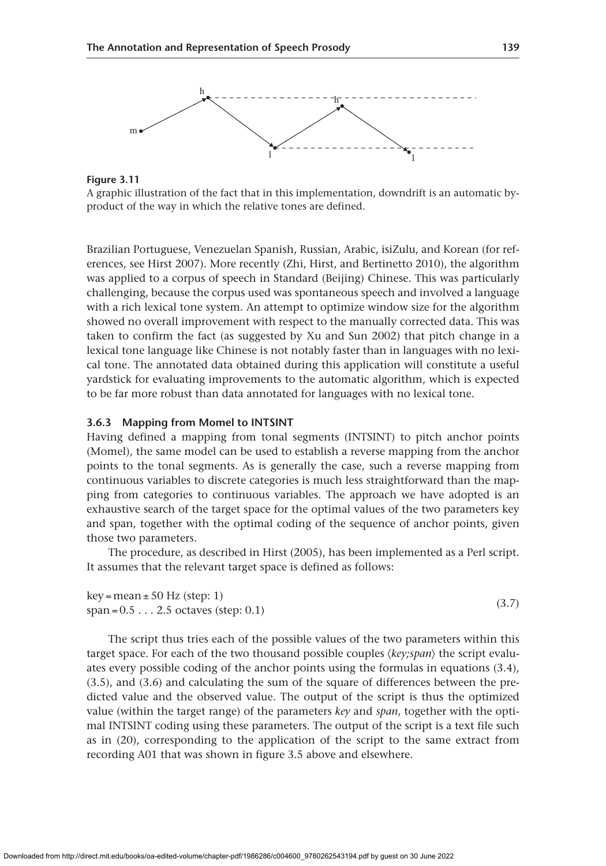

**Figure 3.11**

A graphic illustration of the fact that in this implementation, downdrift is an automatic byproduct of the way in which the relative tones are defined.

Brazilian Portuguese, Venezuelan Spanish, Russian, Arabic, isiZulu, and Korean (for references, see Hirst 2007). More recently (Zhi, Hirst, and Bertinetto 2010), the algorithm was applied to a corpus of speech in Standard (Beijing) Chinese. This was particularly challenging, because the corpus used was spontaneous speech and involved a language with a rich lexical tone system. An attempt to optimize window size for the algorithm showed no overall improvement with respect to the manually corrected data. This was taken to confirm the fact (as suggested by Xu and Sun 2002) that pitch change in a lexical tone language like Chinese is not notably faster than in languages with no lexical tone. The annotated data obtained during this application will constitute a useful yardstick for evaluating improvements to the automatic algorithm, which is expected to be far more robust than data annotated for languages with no lexical tone.

# **3.6.3 Mapping from Momel to INTSINT**

Having defined a mapping from tonal segments (INTSINT) to pitch anchor points (Momel), the same model can be used to establish a reverse mapping from the anchor points to the tonal segments. As is generally the case, such a reverse mapping from continuous variables to discrete categories is much less straightforward than the mapping from categories to continuous variables. The approach we have adopted is an exhaustive search of the target space for the optimal values of the two parameters key and span, together with the optimal coding of the sequence of anchor points, given those two parameters.

The procedure, as described in Hirst (2005), has been implemented as a Perl script. It assumes that the relevant target space is defined as follows:

| $key = mean \pm 50$ Hz (step: 1)       | (3.7) |
|----------------------------------------|-------|
| span = $0.52.5$ octaves (step: $0.1$ ) |       |

The script thus tries each of the possible values of the two parameters within this target space. For each of the two thousand possible couples ⟨*key;span*⟩ the script evaluates every possible coding of the anchor points using the formulas in equations (3.4), (3.5), and (3.6) and calculating the sum of the square of differences between the predicted value and the observed value. The output of the script is thus the optimized value (within the target range) of the parameters *key* and *span*, together with the optimal INTSINT coding using these parameters. The output of the script is a text file such as in (20), corresponding to the application of the script to the same extract from recording A01 that was shown in figure 3.5 above and elsewhere.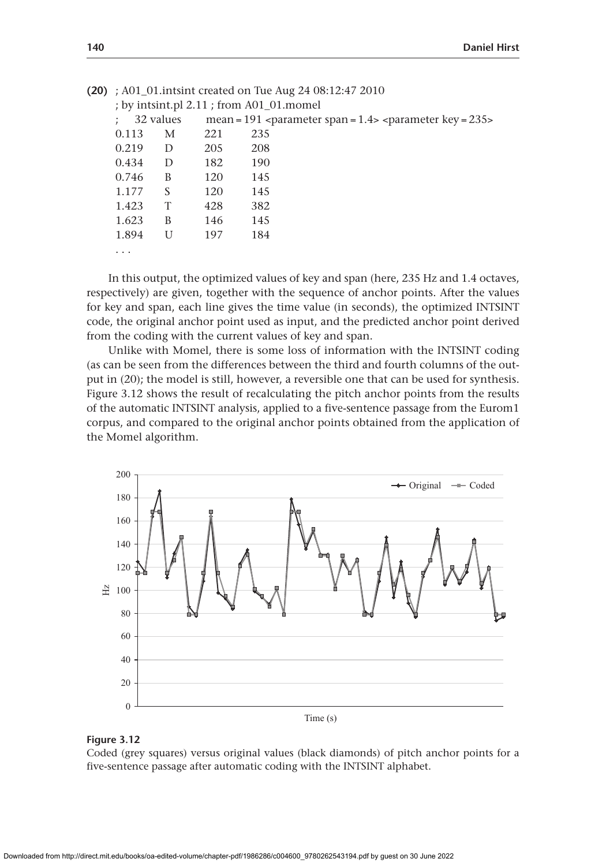|  | (20) : A01_01.intsint created on Tue Aug 24 $08:12:47$ 2010<br>; by intsint.pl 2.11 ; from A01_01.momel |   |     |     |  |
|--|---------------------------------------------------------------------------------------------------------|---|-----|-----|--|
|  |                                                                                                         |   |     |     |  |
|  | 32 values<br>mean = 191 <parameter span="1.4"> <parameter key="235"></parameter></parameter>            |   |     |     |  |
|  | 0.113                                                                                                   | М | 221 | 235 |  |
|  | 0.219                                                                                                   | D | 205 | 208 |  |
|  | 0.434                                                                                                   | D | 182 | 190 |  |
|  | 0.746                                                                                                   | B | 120 | 145 |  |
|  | 1.177                                                                                                   | S | 120 | 145 |  |
|  | 1.423                                                                                                   | T | 428 | 382 |  |
|  | 1.623                                                                                                   | B | 146 | 145 |  |
|  | 1.894                                                                                                   | U | 197 | 184 |  |
|  | $\cdots$                                                                                                |   |     |     |  |

In this output, the optimized values of key and span (here, 235 Hz and 1.4 octaves, respectively) are given, together with the sequence of anchor points. After the values for key and span, each line gives the time value (in seconds), the optimized INTSINT code, the original anchor point used as input, and the predicted anchor point derived from the coding with the current values of key and span.

Unlike with Momel, there is some loss of information with the INTSINT coding (as can be seen from the differences between the third and fourth columns of the output in (20); the model is still, however, a reversible one that can be used for synthesis. Figure 3.12 shows the result of recalculating the pitch anchor points from the results of the automatic INTSINT analysis, applied to a five-sentence passage from the Eurom1 corpus, and compared to the original anchor points obtained from the application of the Momel algorithm.



#### **Figure 3.12**

Coded (grey squares) versus original values (black diamonds) of pitch anchor points for a five-sentence passage after automatic coding with the INTSINT alphabet.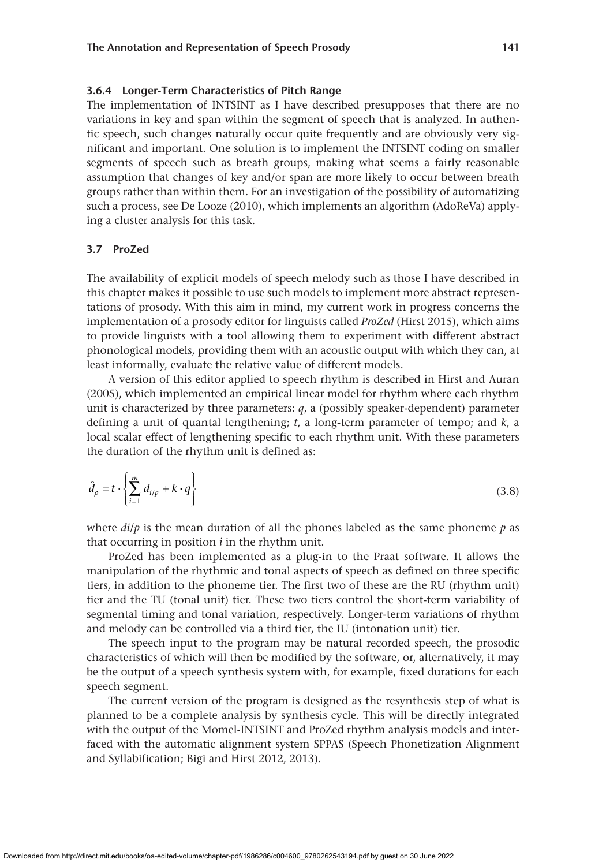#### **3.6.4 Longer-Term Characteristics of Pitch Range**

The implementation of INTSINT as I have described presupposes that there are no variations in key and span within the segment of speech that is analyzed. In authentic speech, such changes naturally occur quite frequently and are obviously very significant and important. One solution is to implement the INTSINT coding on smaller segments of speech such as breath groups, making what seems a fairly reasonable assumption that changes of key and/or span are more likely to occur between breath groups rather than within them. For an investigation of the possibility of automatizing such a process, see De Looze (2010), which implements an algorithm (AdoReVa) applying a cluster analysis for this task.

# **3.7 ProZed**

The availability of explicit models of speech melody such as those I have described in this chapter makes it possible to use such models to implement more abstract representations of prosody. With this aim in mind, my current work in progress concerns the implementation of a prosody editor for linguists called *ProZed* (Hirst 2015), which aims to provide linguists with a tool allowing them to experiment with different abstract phonological models, providing them with an acoustic output with which they can, at least informally, evaluate the relative value of different models.

A version of this editor applied to speech rhythm is described in Hirst and Auran (2005), which implemented an empirical linear model for rhythm where each rhythm unit is characterized by three parameters: *q*, a (possibly speaker-dependent) parameter defining a unit of quantal lengthening; *t*, a long-term parameter of tempo; and *k*, a local scalar effect of lengthening specific to each rhythm unit. With these parameters the duration of the rhythm unit is defined as:

$$
\hat{d}_{\rho} = t \cdot \left\{ \sum_{i=1}^{m} \overline{d}_{i/p} + k \cdot q \right\} \tag{3.8}
$$

where  $di/p$  is the mean duration of all the phones labeled as the same phoneme  $p$  as that occurring in position *i* in the rhythm unit.

ProZed has been implemented as a plug-in to the Praat software. It allows the manipulation of the rhythmic and tonal aspects of speech as defined on three specific tiers, in addition to the phoneme tier. The first two of these are the RU (rhythm unit) tier and the TU (tonal unit) tier. These two tiers control the short-term variability of segmental timing and tonal variation, respectively. Longer-term variations of rhythm and melody can be controlled via a third tier, the IU (intonation unit) tier.

The speech input to the program may be natural recorded speech, the prosodic characteristics of which will then be modified by the software, or, alternatively, it may be the output of a speech synthesis system with, for example, fixed durations for each speech segment.

The current version of the program is designed as the resynthesis step of what is planned to be a complete analysis by synthesis cycle. This will be directly integrated with the output of the Momel-INTSINT and ProZed rhythm analysis models and interfaced with the automatic alignment system SPPAS (Speech Phonetization Alignment and Syllabification; Bigi and Hirst 2012, 2013).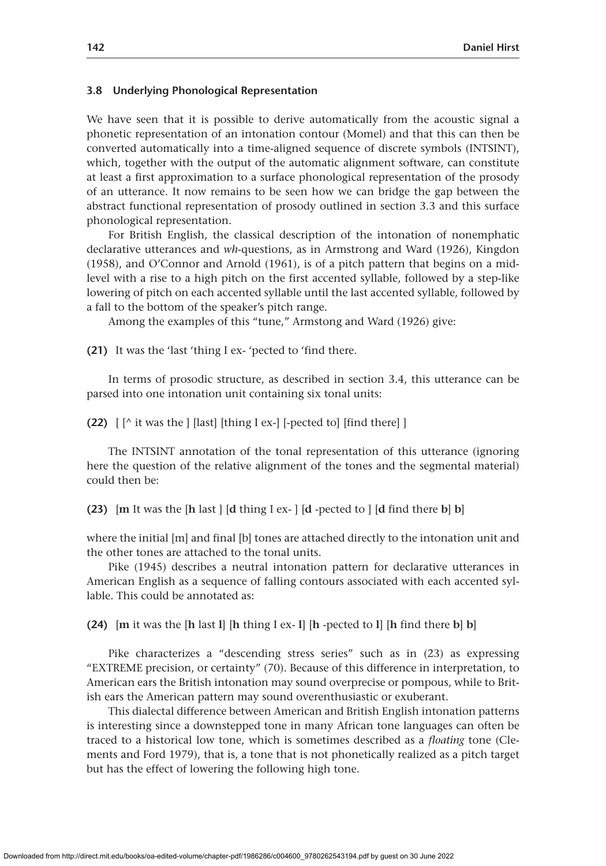#### **3.8 Underlying Phonological Representation**

We have seen that it is possible to derive automatically from the acoustic signal a phonetic representation of an intonation contour (Momel) and that this can then be converted automatically into a time-aligned sequence of discrete symbols (INTSINT), which, together with the output of the automatic alignment software, can constitute at least a first approximation to a surface phonological representation of the prosody of an utterance. It now remains to be seen how we can bridge the gap between the abstract functional representation of prosody outlined in section 3.3 and this surface phonological representation.

For British English, the classical description of the intonation of nonemphatic declarative utterances and *wh*-questions, as in Armstrong and Ward (1926), Kingdon (1958), and O'Connor and Arnold (1961), is of a pitch pattern that begins on a midlevel with a rise to a high pitch on the first accented syllable, followed by a step-like lowering of pitch on each accented syllable until the last accented syllable, followed by a fall to the bottom of the speaker's pitch range.

Among the examples of this "tune," Armstong and Ward (1926) give:

**(21)** It was the 'last 'thing I ex- 'pected to 'find there.

In terms of prosodic structure, as described in section 3.4, this utterance can be parsed into one intonation unit containing six tonal units:

**(22)** [ [^ it was the ] [last] [thing I ex-] [-pected to] [find there] ]

The INTSINT annotation of the tonal representation of this utterance (ignoring here the question of the relative alignment of the tones and the segmental material) could then be:

**(23)** [**m** It was the [**h** last ] [**d** thing I ex- ] [**d** -pected to ] [**d** find there **b**] **b**]

where the initial [m] and final [b] tones are attached directly to the intonation unit and the other tones are attached to the tonal units.

Pike (1945) describes a neutral intonation pattern for declarative utterances in American English as a sequence of falling contours associated with each accented syllable. This could be annotated as:

**(24)** [**m** it was the [**h** last **l**] [**h** thing I ex- **l**] [**h** -pected to **l**] [**h** find there **b**] **b**]

Pike characterizes a "descending stress series" such as in (23) as expressing "EXTREME precision, or certainty" (70). Because of this difference in interpretation, to American ears the British intonation may sound overprecise or pompous, while to British ears the American pattern may sound overenthusiastic or exuberant.

This dialectal difference between American and British English intonation patterns is interesting since a downstepped tone in many African tone languages can often be traced to a historical low tone, which is sometimes described as a *floating* tone (Clements and Ford 1979), that is, a tone that is not phonetically realized as a pitch target but has the effect of lowering the following high tone.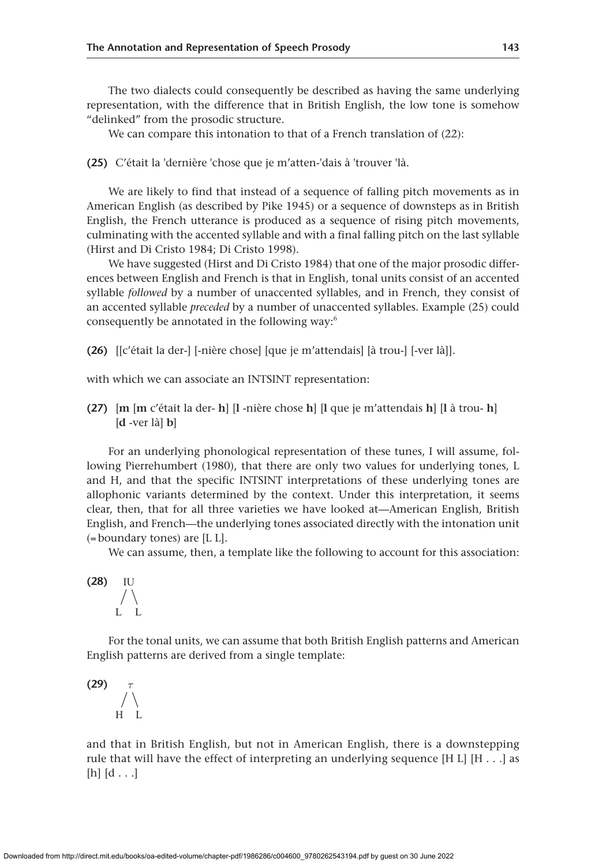The two dialects could consequently be described as having the same underlying representation, with the difference that in British English, the low tone is somehow "delinked" from the prosodic structure.

We can compare this intonation to that of a French translation of (22):

**(25)** C'était la 'dernière 'chose que je m'atten-'dais à 'trouver 'là.

We are likely to find that instead of a sequence of falling pitch movements as in American English (as described by Pike 1945) or a sequence of downsteps as in British English, the French utterance is produced as a sequence of rising pitch movements, culminating with the accented syllable and with a final falling pitch on the last syllable (Hirst and Di Cristo 1984; Di Cristo 1998).

We have suggested (Hirst and Di Cristo 1984) that one of the major prosodic differences between English and French is that in English, tonal units consist of an accented syllable *followed* by a number of unaccented syllables, and in French, they consist of an accented syllable *preceded* by a number of unaccented syllables. Example (25) could consequently be annotated in the following way:<sup>6</sup>

**(26)** [[c'était la der-] [-nière chose] [que je m'attendais] [à trou-] [-ver là]].

with which we can associate an INTSINT representation:

**(27)** [**m** [**m** c'était la der- **h**] [**l** -nière chose **h**] [**l** que je m'attendais **h**] [**l** à trou- **h**] [**d** -ver là] **b**]

For an underlying phonological representation of these tunes, I will assume, following Pierrehumbert (1980), that there are only two values for underlying tones, L and H, and that the specific INTSINT interpretations of these underlying tones are allophonic variants determined by the context. Under this interpretation, it seems clear, then, that for all three varieties we have looked at—American English, British English, and French—the underlying tones associated directly with the intonation unit  $($ = boundary tones) are  $[$ L L $]$ .

We can assume, then, a template like the following to account for this association:

**(28)** IU L L

For the tonal units, we can assume that both British English patterns and American English patterns are derived from a single template:

 $(29)$ H L

and that in British English, but not in American English, there is a downstepping rule that will have the effect of interpreting an underlying sequence [H L] [H  $\dots$ ] as  $[h]$   $[d \dots]$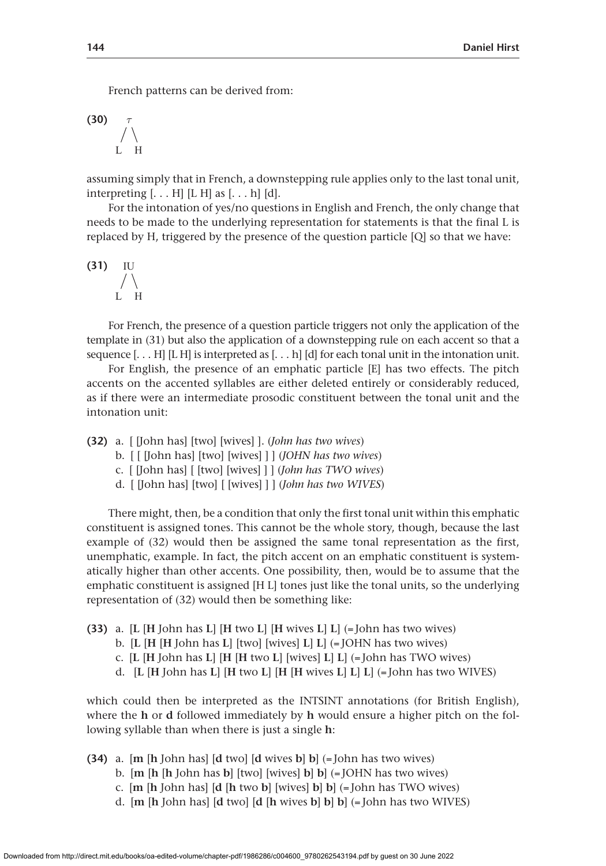French patterns can be derived from:

 $(30)$  $H$ 

assuming simply that in French, a downstepping rule applies only to the last tonal unit, interpreting [. . . H] [L H] as [. . . h] [d].

For the intonation of yes/no questions in English and French, the only change that needs to be made to the underlying representation for statements is that the final L is replaced by H, triggered by the presence of the question particle [Q] so that we have:

**(31)** IU L H

For French, the presence of a question particle triggers not only the application of the template in (31) but also the application of a downstepping rule on each accent so that a sequence  $[... H]$  [L H] is interpreted as  $[... h]$  [d] for each tonal unit in the intonation unit.

For English, the presence of an emphatic particle [E] has two effects. The pitch accents on the accented syllables are either deleted entirely or considerably reduced, as if there were an intermediate prosodic constituent between the tonal unit and the intonation unit:

**(32)** a. [ [John has] [two] [wives] ]. (*John has two wives*)

- b. [ [ [John has] [two] [wives] ] ] (*JOHN has two wives*)
- c. [ [John has] [ [two] [wives] ] ] (*John has TWO wives*)
- d. [ [John has] [two] [ [wives] ] ] (*John has two WIVES*)

There might, then, be a condition that only the first tonal unit within this emphatic constituent is assigned tones. This cannot be the whole story, though, because the last example of (32) would then be assigned the same tonal representation as the first, unemphatic, example. In fact, the pitch accent on an emphatic constituent is systematically higher than other accents. One possibility, then, would be to assume that the emphatic constituent is assigned [H L] tones just like the tonal units, so the underlying representation of (32) would then be something like:

- **(33)** a. [**L** [**H** John has **L**] [**H** two **L**] [**H** wives **L**] **L**] (= John has two wives)
	- b. [**L** [**H** [**H** John has **L**] [two] [wives] **L**] **L**] (= JOHN has two wives)
	- c. [**L** [**H** John has **L**] [**H** [**H** two **L**] [wives] **L**] **L**] (= John has TWO wives)
	- d. [**L** [**H** John has **L**] [**H** two **L**] [**H** [**H** wives **L**] **L**] **L**] (= John has two WIVES)

which could then be interpreted as the INTSINT annotations (for British English), where the **h** or **d** followed immediately by **h** would ensure a higher pitch on the following syllable than when there is just a single **h**:

- **(34)** a. [**m** [**h** John has] [**d** two] [**d** wives **b**] **b**] (= John has two wives)
	- b. [**m** [**h** [**h** John has **b**] [two] [wives] **b**] **b**] (= JOHN has two wives)
	- c. [**m** [**h** John has] [**d** [**h** two **b**] [wives] **b**] **b**] (= John has TWO wives)
	- d. [**m** [**h** John has] [**d** two] [**d** [**h** wives **b**] **b**] **b**] (= John has two WIVES)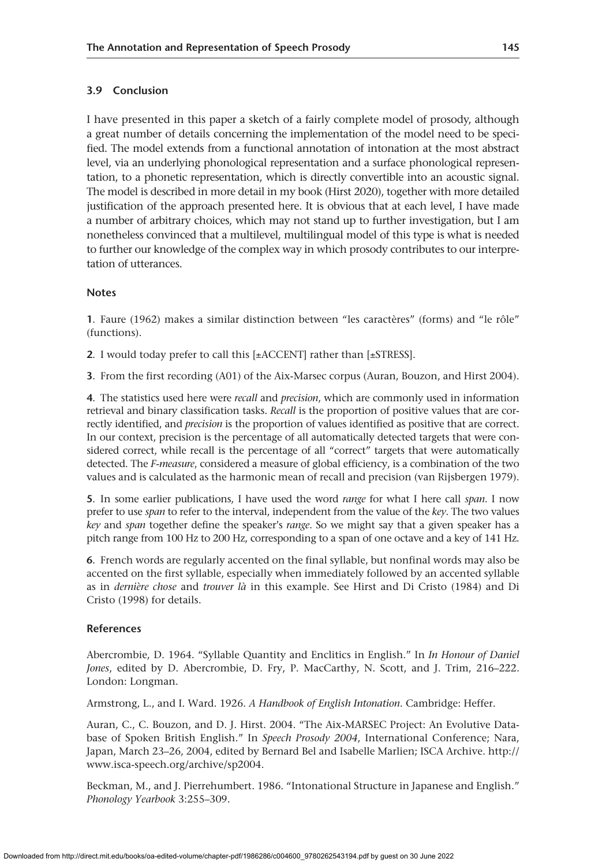# **3.9 Conclusion**

I have presented in this paper a sketch of a fairly complete model of prosody, although a great number of details concerning the implementation of the model need to be specified. The model extends from a functional annotation of intonation at the most abstract level, via an underlying phonological representation and a surface phonological representation, to a phonetic representation, which is directly convertible into an acoustic signal. The model is described in more detail in my book (Hirst 2020), together with more detailed justification of the approach presented here. It is obvious that at each level, I have made a number of arbitrary choices, which may not stand up to further investigation, but I am nonetheless convinced that a multilevel, multilingual model of this type is what is needed to further our knowledge of the complex way in which prosody contributes to our interpretation of utterances.

# **Notes**

**1**. Faure (1962) makes a similar distinction between "les caractères" (forms) and "le rôle" (functions).

**2**. I would today prefer to call this [±ACCENT] rather than [±STRESS].

**3**. From the first recording (A01) of the Aix-Marsec corpus (Auran, Bouzon, and Hirst 2004).

**4**. The statistics used here were *recall* and *precision*, which are commonly used in information retrieval and binary classification tasks. *Recall* is the proportion of positive values that are correctly identified, and *precision* is the proportion of values identified as positive that are correct. In our context, precision is the percentage of all automatically detected targets that were considered correct, while recall is the percentage of all "correct" targets that were automatically detected. The *F-measure*, considered a measure of global efficiency, is a combination of the two values and is calculated as the harmonic mean of recall and precision (van Rijsbergen 1979).

**5**. In some earlier publications, I have used the word *range* for what I here call *span*. I now prefer to use *span* to refer to the interval, independent from the value of the *key*. The two values *key* and *span* together define the speaker's *range*. So we might say that a given speaker has a pitch range from 100 Hz to 200 Hz, corresponding to a span of one octave and a key of 141 Hz.

**6**. French words are regularly accented on the final syllable, but nonfinal words may also be accented on the first syllable, especially when immediately followed by an accented syllable as in *dernière chose* and *trouver là* in this example. See Hirst and Di Cristo (1984) and Di Cristo (1998) for details.

# **References**

Abercrombie, D. 1964. "Syllable Quantity and Enclitics in English." In *In Honour of Daniel Jones*, edited by D. Abercrombie, D. Fry, P. MacCarthy, N. Scott, and J. Trim, 216–222. London: Longman.

Armstrong, L., and I. Ward. 1926. *A Handbook of English Intonation*. Cambridge: Heffer.

Auran, C., C. Bouzon, and D. J. Hirst. 2004. "The Aix-MARSEC Project: An Evolutive Database of Spoken British English." In *Speech Prosody 2004*, International Conference; Nara, Japan, March 23–26, 2004, edited by Bernard Bel and Isabelle Marlien; ISCA Archive. [http://](http://www.isca-speech.org/archive/sp2004) [www.isca-speech.org/archive/sp2004](http://www.isca-speech.org/archive/sp2004).

Beckman, M., and J. Pierrehumbert. 1986. "Intonational Structure in Japanese and English." *Phonology Yearbook* 3:255–309.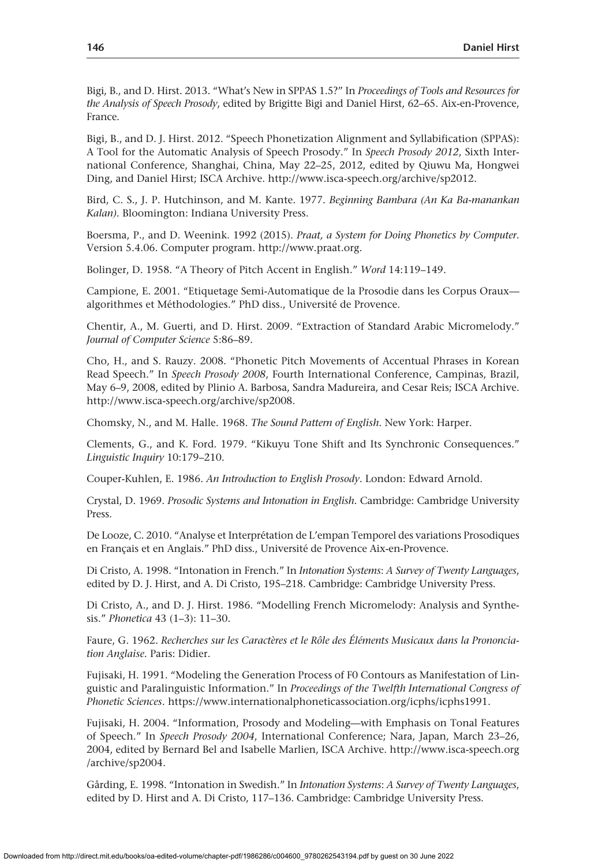Bigi, B., and D. Hirst. 2013. "What's New in SPPAS 1.5?" In *Proceedings of Tools and Resources for the Analysis of Speech Prosody*, edited by Brigitte Bigi and Daniel Hirst, 62–65. Aix-en-Provence, France.

Bigi, B., and D. J. Hirst. 2012. "Speech Phonetization Alignment and Syllabification (SPPAS): A Tool for the Automatic Analysis of Speech Prosody." In *Speech Prosody 2012*, Sixth International Conference, Shanghai, China, May 22–25, 2012, edited by Qiuwu Ma, Hongwei Ding, and Daniel Hirst; ISCA Archive. <http://www.isca-speech.org/archive/sp2012>.

Bird, C. S., J. P. Hutchinson, and M. Kante. 1977. *Beginning Bambara (An Ka Ba-manankan Kalan)*. Bloomington: Indiana University Press.

Boersma, P., and D. Weenink. 1992 (2015). *Praat, a System for Doing Phonetics by Computer*. Version 5.4.06. Computer program. [http://www.praat.org.](http://www.praat.org)

Bolinger, D. 1958. "A Theory of Pitch Accent in English." *Word* 14:119–149.

Campione, E. 2001. "Etiquetage Semi-Automatique de la Prosodie dans les Corpus Oraux algorithmes et Méthodologies." PhD diss., Université de Provence.

Chentir, A., M. Guerti, and D. Hirst. 2009. "Extraction of Standard Arabic Micromelody." *Journal of Computer Science* 5:86–89.

Cho, H., and S. Rauzy. 2008. "Phonetic Pitch Movements of Accentual Phrases in Korean Read Speech." In *Speech Prosody 2008*, Fourth International Conference, Campinas, Brazil, May 6–9, 2008, edited by Plinio A. Barbosa, Sandra Madureira, and Cesar Reis; ISCA Archive. <http://www.isca-speech.org/archive/sp2008>.

Chomsky, N., and M. Halle. 1968. *The Sound Pattern of English*. New York: Harper.

Clements, G., and K. Ford. 1979. "Kikuyu Tone Shift and Its Synchronic Consequences." *Linguistic Inquiry* 10:179–210.

Couper-Kuhlen, E. 1986. *An Introduction to English Prosody*. London: Edward Arnold.

Crystal, D. 1969. *Prosodic Systems and Intonation in English*. Cambridge: Cambridge University Press.

De Looze, C. 2010. "Analyse et Interprétation de L'empan Temporel des variations Prosodiques en Français et en Anglais." PhD diss., Université de Provence Aix-en-Provence.

Di Cristo, A. 1998. "Intonation in French." In *Intonation Systems*: *A Survey of Twenty Languages*, edited by D. J. Hirst, and A. Di Cristo, 195–218. Cambridge: Cambridge University Press.

Di Cristo, A., and D. J. Hirst. 1986. "Modelling French Micromelody: Analysis and Synthesis." *Phonetica* 43 (1–3): 11–30.

Faure, G. 1962. *Recherches sur les Caractères et le Rôle des Éléments Musicaux dans la Prononciation Anglaise*. Paris: Didier.

Fujisaki, H. 1991. "Modeling the Generation Process of F0 Contours as Manifestation of Linguistic and Paralinguistic Information." In *Proceedings of the Twelfth International Congress of Phonetic Sciences*. [https://www.internationalphoneticassociation.org/icphs/icphs1991.](https://www.internationalphoneticassociation.org/icphs/icphs1991)

Fujisaki, H. 2004. "Information, Prosody and Modeling—with Emphasis on Tonal Features of Speech." In *Speech Prosody 2004*, International Conference; Nara, Japan, March 23–26, 2004, edited by Bernard Bel and Isabelle Marlien, ISCA Archive. [http://www.isca-speech.org](http://www.isca-speech.org/archive/sp2004) [/archive/sp2004](http://www.isca-speech.org/archive/sp2004).

Gårding, E. 1998. "Intonation in Swedish." In *Intonation Systems*: *A Survey of Twenty Languages*, edited by D. Hirst and A. Di Cristo, 117–136. Cambridge: Cambridge University Press.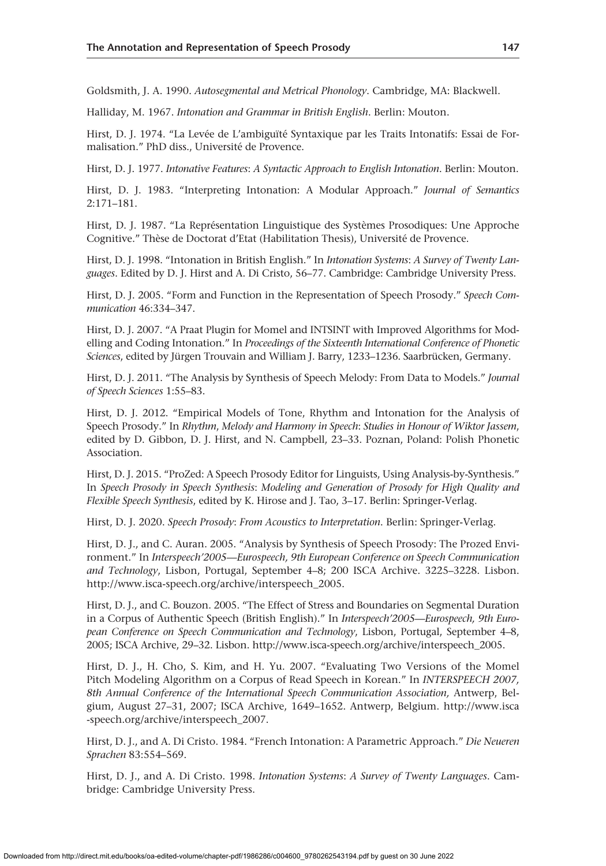Goldsmith, J. A. 1990. *Autosegmental and Metrical Phonology*. Cambridge, MA: Blackwell.

Halliday, M. 1967. *Intonation and Grammar in British English*. Berlin: Mouton.

Hirst, D. J. 1974. "La Levée de L'ambiguïté Syntaxique par les Traits Intonatifs: Essai de Formalisation." PhD diss., Université de Provence.

Hirst, D. J. 1977. *Intonative Features*: *A Syntactic Approach to English Intonation*. Berlin: Mouton.

Hirst, D. J. 1983. "Interpreting Intonation: A Modular Approach." *Journal of Semantics* 2:171–181.

Hirst, D. J. 1987. "La Représentation Linguistique des Systèmes Prosodiques: Une Approche Cognitive." Thèse de Doctorat d'Etat (Habilitation Thesis), Université de Provence.

Hirst, D. J. 1998. "Intonation in British English." In *Intonation Systems*: *A Survey of Twenty Languages*. Edited by D. J. Hirst and A. Di Cristo, 56–77. Cambridge: Cambridge University Press.

Hirst, D. J. 2005. "Form and Function in the Representation of Speech Prosody." *Speech Communication* 46:334–347.

Hirst, D. J. 2007. "A Praat Plugin for Momel and INTSINT with Improved Algorithms for Modelling and Coding Intonation." In *Proceedings of the Sixteenth International Conference of Phonetic Sciences*, edited by Jürgen Trouvain and William J. Barry, 1233–1236. Saarbrücken, Germany.

Hirst, D. J. 2011. "The Analysis by Synthesis of Speech Melody: From Data to Models." *Journal of Speech Sciences* 1:55–83.

Hirst, D. J. 2012. "Empirical Models of Tone, Rhythm and Intonation for the Analysis of Speech Prosody." In *Rhythm*, *Melody and Harmony in Speech*: *Studies in Honour of Wiktor Jassem*, edited by D. Gibbon, D. J. Hirst, and N. Campbell, 23–33. Poznan, Poland: Polish Phonetic Association.

Hirst, D. J. 2015. "ProZed: A Speech Prosody Editor for Linguists, Using Analysis-by-Synthesis." In *Speech Prosody in Speech Synthesis*: *Modeling and Generation of Prosody for High Quality and Flexible Speech Synthesis*, edited by K. Hirose and J. Tao, 3–17. Berlin: Springer-Verlag.

Hirst, D. J. 2020. *Speech Prosody*: *From Acoustics to Interpretation*. Berlin: Springer-Verlag.

Hirst, D. J., and C. Auran. 2005. "Analysis by Synthesis of Speech Prosody: The Prozed Environment." In *Interspeech'2005—Eurospeech, 9th European Conference on Speech Communication and Technology*, Lisbon, Portugal, September 4–8; 200 ISCA Archive. 3225–3228. Lisbon. [http://www.isca-speech.org/archive/interspeech\\_2005](http://www.isca-speech.org/archive/interspeech_2005).

Hirst, D. J., and C. Bouzon. 2005. "The Effect of Stress and Boundaries on Segmental Duration in a Corpus of Authentic Speech (British English)." In *Interspeech'2005—Eurospeech, 9th European Conference on Speech Communication and Technology*, Lisbon, Portugal, September 4–8, 2005; ISCA Archive, 29–32. Lisbon. [http://www.isca-speech.org/archive/interspeech\\_2005.](http://www.isca-speech.org/archive/interspeech_2005)

Hirst, D. J., H. Cho, S. Kim, and H. Yu. 2007. "Evaluating Two Versions of the Momel Pitch Modeling Algorithm on a Corpus of Read Speech in Korean." In *INTERSPEECH 2007, 8th Annual Conference of the International Speech Communication Association,* Antwerp, Belgium, August 27–31, 2007; ISCA Archive, 1649–1652. Antwerp, Belgium. [http://www.isca](http://www.isca-speech.org/archive/interspeech_2007) [-speech.org/archive/interspeech\\_2007](http://www.isca-speech.org/archive/interspeech_2007).

Hirst, D. J., and A. Di Cristo. 1984. "French Intonation: A Parametric Approach." *Die Neueren Sprachen* 83:554–569.

Hirst, D. J., and A. Di Cristo. 1998. *Intonation Systems*: *A Survey of Twenty Languages*. Cambridge: Cambridge University Press.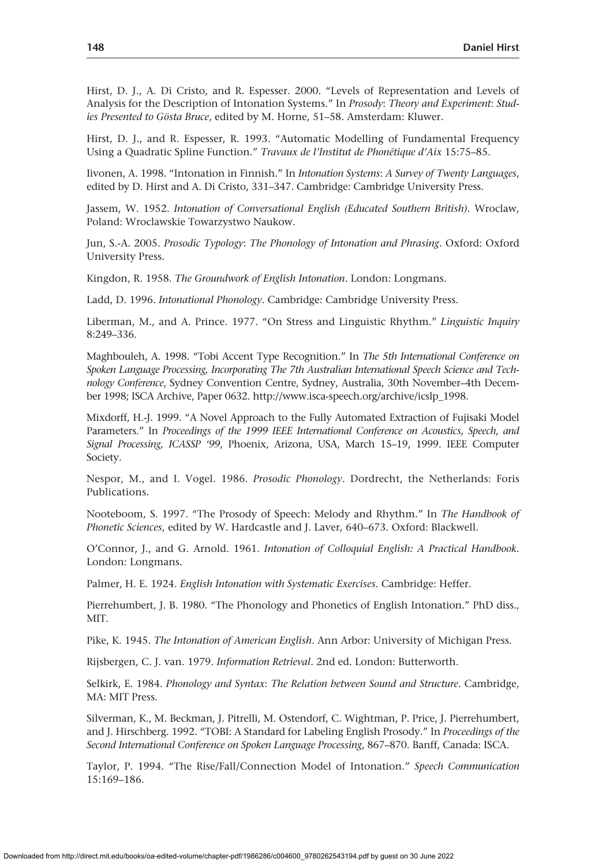Hirst, D. J., A. Di Cristo, and R. Espesser. 2000. "Levels of Representation and Levels of Analysis for the Description of Intonation Systems." In *Prosody*: *Theory and Experiment*: *Studies Presented to Gösta Bruce*, edited by M. Horne, 51–58. Amsterdam: Kluwer.

Hirst, D. J., and R. Espesser, R. 1993. "Automatic Modelling of Fundamental Frequency Using a Quadratic Spline Function." *Travaux de l'Institut de Phonétique d'Aix* 15:75–85.

Iivonen, A. 1998. "Intonation in Finnish." In *Intonation Systems*: *A Survey of Twenty Languages*, edited by D. Hirst and A. Di Cristo, 331–347. Cambridge: Cambridge University Press.

Jassem, W. 1952. *Intonation of Conversational English (Educated Southern British)*. Wroclaw, Poland: Wroclawskie Towarzystwo Naukow.

Jun, S.-A. 2005. *Prosodic Typology*: *The Phonology of Intonation and Phrasing*. Oxford: Oxford University Press.

Kingdon, R. 1958. *The Groundwork of English Intonation*. London: Longmans.

Ladd, D. 1996. *Intonational Phonology*. Cambridge: Cambridge University Press.

Liberman, M., and A. Prince. 1977. "On Stress and Linguistic Rhythm." *Linguistic Inquiry* 8:249–336.

Maghbouleh, A. 1998. "Tobi Accent Type Recognition." In *The 5th International Conference on Spoken Language Processing, Incorporating The 7th Australian International Speech Science and Technology Conference*, Sydney Convention Centre, Sydney, Australia, 30th November–4th December 1998; ISCA Archive, Paper 0632. [http://www.isca-speech.org/archive/icslp\\_1998](http://www.isca-speech.org/archive/icslp_1998).

Mixdorff, H.-J. 1999. "A Novel Approach to the Fully Automated Extraction of Fujisaki Model Parameters." In *Proceedings of the 1999 IEEE International Conference on Acoustics, Speech, and Signal Processing, ICASSP '99*, Phoenix, Arizona, USA, March 15–19, 1999. IEEE Computer Society.

Nespor, M., and I. Vogel. 1986. *Prosodic Phonology*. Dordrecht, the Netherlands: Foris Publications.

Nooteboom, S. 1997. "The Prosody of Speech: Melody and Rhythm." In *The Handbook of Phonetic Sciences*, edited by W. Hardcastle and J. Laver, 640–673. Oxford: Blackwell.

O'Connor, J., and G. Arnold. 1961. *Intonation of Colloquial English: A Practical Handbook*. London: Longmans.

Palmer, H. E. 1924. *English Intonation with Systematic Exercises*. Cambridge: Heffer.

Pierrehumbert, J. B. 1980. "The Phonology and Phonetics of English Intonation." PhD diss., MIT.

Pike, K. 1945. *The Intonation of American English*. Ann Arbor: University of Michigan Press.

Rijsbergen, C. J. van. 1979. *Information Retrieval*. 2nd ed. London: Butterworth.

Selkirk, E. 1984. *Phonology and Syntax*: *The Relation between Sound and Structure*. Cambridge, MA: MIT Press.

Silverman, K., M. Beckman, J. Pitrelli, M. Ostendorf, C. Wightman, P. Price, J. Pierrehumbert, and J. Hirschberg. 1992. "TOBI: A Standard for Labeling English Prosody." In *Proceedings of the Second International Conference on Spoken Language Processing*, 867–870. Banff, Canada: ISCA.

Taylor, P. 1994. "The Rise/Fall/Connection Model of Intonation." *Speech Communication* 15:169–186.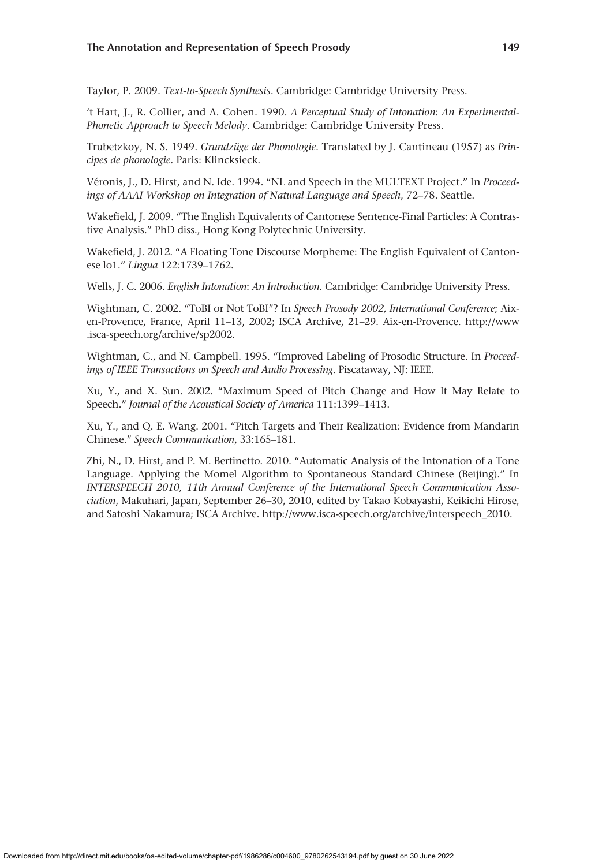Taylor, P. 2009. *Text-to-Speech Synthesis*. Cambridge: Cambridge University Press.

't Hart, J., R. Collier, and A. Cohen. 1990. *A Perceptual Study of Intonation*: *An Experimental-Phonetic Approach to Speech Melody*. Cambridge: Cambridge University Press.

Trubetzkoy, N. S. 1949. *Grundzüge der Phonologie*. Translated by J. Cantineau (1957) as *Principes de phonologie*. Paris: Klincksieck.

Véronis, J., D. Hirst, and N. Ide. 1994. "NL and Speech in the MULTEXT Project." In *Proceedings of AAAI Workshop on Integration of Natural Language and Speech*, 72–78. Seattle.

Wakefield, J. 2009. "The English Equivalents of Cantonese Sentence-Final Particles: A Contrastive Analysis." PhD diss., Hong Kong Polytechnic University.

Wakefield, J. 2012. "A Floating Tone Discourse Morpheme: The English Equivalent of Cantonese lo1." *Lingua* 122:1739–1762.

Wells, J. C. 2006. *English Intonation*: *An Introduction*. Cambridge: Cambridge University Press.

Wightman, C. 2002. "ToBI or Not ToBI"? In *Speech Prosody 2002, International Conference*; Aixen-Provence, France, April 11–13, 2002; ISCA Archive, 21–29. Aix-en-Provence. [http://www](http://www.isca-speech.org/archive/sp2002) [.isca-speech.org/archive/sp2002](http://www.isca-speech.org/archive/sp2002).

Wightman, C., and N. Campbell. 1995. "Improved Labeling of Prosodic Structure. In *Proceedings of IEEE Transactions on Speech and Audio Processing*. Piscataway, NJ: IEEE.

Xu, Y., and X. Sun. 2002. "Maximum Speed of Pitch Change and How It May Relate to Speech." *Journal of the Acoustical Society of America* 111:1399–1413.

Xu, Y., and Q. E. Wang. 2001. "Pitch Targets and Their Realization: Evidence from Mandarin Chinese." *Speech Communication*, 33:165–181.

Zhi, N., D. Hirst, and P. M. Bertinetto. 2010. "Automatic Analysis of the Intonation of a Tone Language. Applying the Momel Algorithm to Spontaneous Standard Chinese (Beijing)." In *INTERSPEECH 2010, 11th Annual Conference of the International Speech Communication Association*, Makuhari, Japan, September 26–30, 2010, edited by Takao Kobayashi, Keikichi Hirose, and Satoshi Nakamura; ISCA Archive. [http://www.isca-speech.org/archive/interspeech\\_2010.](http://www.isca-speech.org/archive/interspeech_2010)